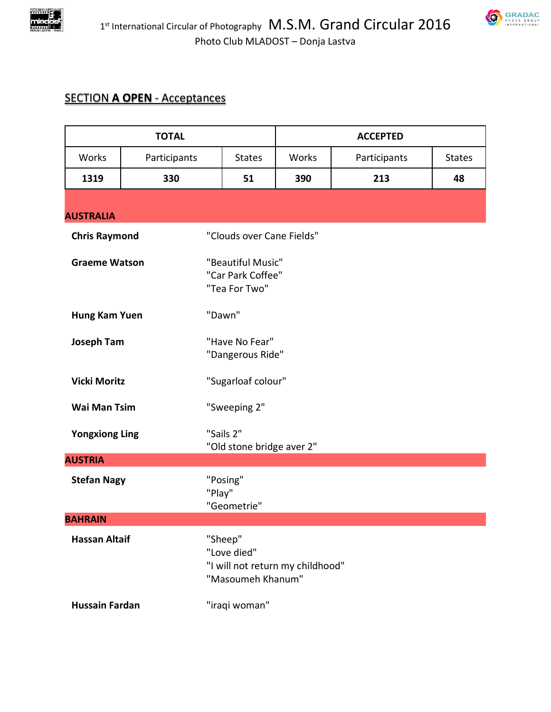



## SECTION **A OPEN** - Acceptances

| <b>TOTAL</b>          |              |                                                       | <b>ACCEPTED</b> |              |               |  |
|-----------------------|--------------|-------------------------------------------------------|-----------------|--------------|---------------|--|
| Works                 | Participants | <b>States</b>                                         | Works           | Participants | <b>States</b> |  |
| 1319                  | 330          | 51                                                    | 390             | 213          | 48            |  |
|                       |              |                                                       |                 |              |               |  |
| <b>AUSTRALIA</b>      |              |                                                       |                 |              |               |  |
| <b>Chris Raymond</b>  |              | "Clouds over Cane Fields"                             |                 |              |               |  |
| <b>Graeme Watson</b>  |              | "Beautiful Music"                                     |                 |              |               |  |
|                       |              | "Car Park Coffee"                                     |                 |              |               |  |
|                       |              | "Tea For Two"                                         |                 |              |               |  |
| Hung Kam Yuen         |              | "Dawn"                                                |                 |              |               |  |
|                       |              |                                                       |                 |              |               |  |
| <b>Joseph Tam</b>     |              | "Have No Fear"                                        |                 |              |               |  |
|                       |              | "Dangerous Ride"                                      |                 |              |               |  |
| <b>Vicki Moritz</b>   |              | "Sugarloaf colour"                                    |                 |              |               |  |
| <b>Wai Man Tsim</b>   |              | "Sweeping 2"                                          |                 |              |               |  |
| <b>Yongxiong Ling</b> |              | "Sails 2"                                             |                 |              |               |  |
|                       |              | "Old stone bridge aver 2"                             |                 |              |               |  |
| <b>AUSTRIA</b>        |              |                                                       |                 |              |               |  |
| <b>Stefan Nagy</b>    |              | "Posing"                                              |                 |              |               |  |
|                       |              | "Play"                                                |                 |              |               |  |
|                       |              | "Geometrie"                                           |                 |              |               |  |
| <b>BAHRAIN</b>        |              |                                                       |                 |              |               |  |
| <b>Hassan Altaif</b>  |              | "Sheep"                                               |                 |              |               |  |
|                       |              | "Love died"                                           |                 |              |               |  |
|                       |              | "I will not return my childhood"<br>"Masoumeh Khanum" |                 |              |               |  |
|                       |              |                                                       |                 |              |               |  |
| <b>Hussain Fardan</b> |              | "iraqi woman"                                         |                 |              |               |  |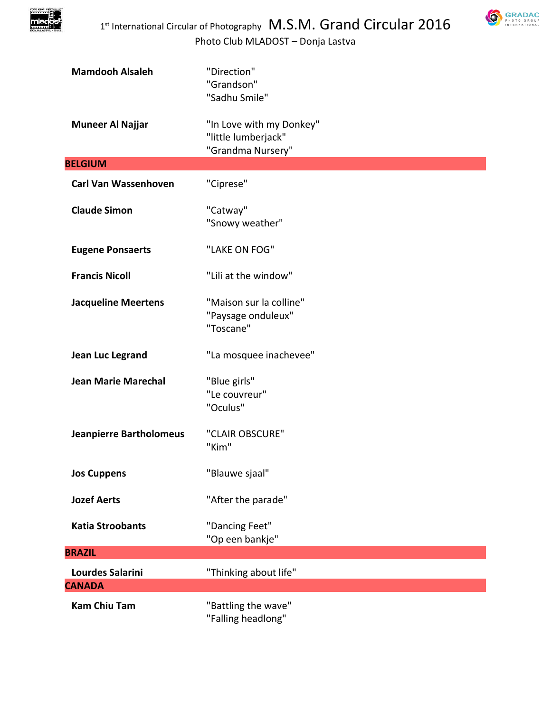

| <b>Mamdooh Alsaleh</b>         | "Direction"<br>"Grandson"<br>"Sadhu Smile"                           |
|--------------------------------|----------------------------------------------------------------------|
| <b>Muneer Al Najjar</b>        | "In Love with my Donkey"<br>"little lumberjack"<br>"Grandma Nursery" |
| <b>BELGIUM</b>                 |                                                                      |
| <b>Carl Van Wassenhoven</b>    | "Ciprese"                                                            |
| <b>Claude Simon</b>            | "Catway"<br>"Snowy weather"                                          |
| <b>Eugene Ponsaerts</b>        | "LAKE ON FOG"                                                        |
| <b>Francis Nicoll</b>          | "Lili at the window"                                                 |
| <b>Jacqueline Meertens</b>     | "Maison sur la colline"<br>"Paysage onduleux"<br>"Toscane"           |
| Jean Luc Legrand               | "La mosquee inachevee"                                               |
| <b>Jean Marie Marechal</b>     | "Blue girls"<br>"Le couvreur"<br>"Oculus"                            |
| <b>Jeanpierre Bartholomeus</b> | "CLAIR OBSCURE"<br>"Kim"                                             |
| <b>Jos Cuppens</b>             | "Blauwe sjaal"                                                       |
| <b>Jozef Aerts</b>             | "After the parade"                                                   |
| <b>Katia Stroobants</b>        | "Dancing Feet"<br>"Op een bankje"                                    |
| <b>BRAZIL</b>                  |                                                                      |
| <b>Lourdes Salarini</b>        | "Thinking about life"                                                |
| <b>CANADA</b>                  |                                                                      |
| <b>Kam Chiu Tam</b>            | "Battling the wave"<br>"Falling headlong"                            |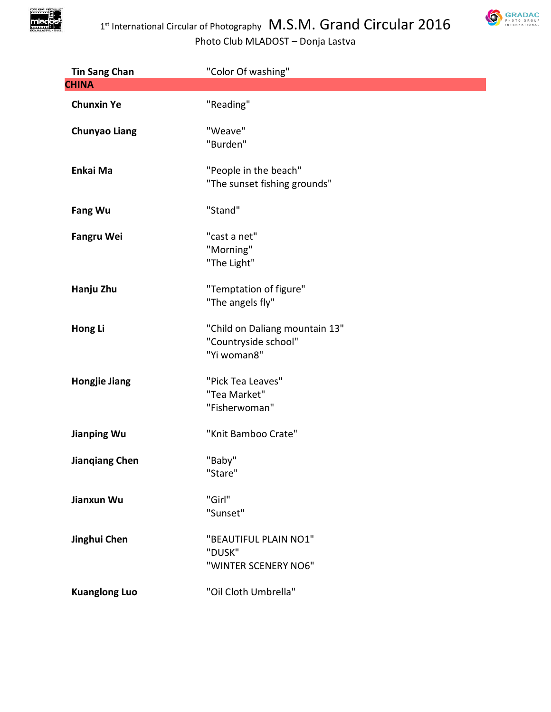

**SRADAC** 

| <b>Tin Sang Chan</b>  | "Color Of washing"                                                    |
|-----------------------|-----------------------------------------------------------------------|
| <b>CHINA</b>          |                                                                       |
| <b>Chunxin Ye</b>     | "Reading"                                                             |
| <b>Chunyao Liang</b>  | "Weave"<br>"Burden"                                                   |
| Enkai Ma              | "People in the beach"<br>"The sunset fishing grounds"                 |
| <b>Fang Wu</b>        | "Stand"                                                               |
| <b>Fangru Wei</b>     | "cast a net"<br>"Morning"<br>"The Light"                              |
| Hanju Zhu             | "Temptation of figure"<br>"The angels fly"                            |
| Hong Li               | "Child on Daliang mountain 13"<br>"Countryside school"<br>"Yi woman8" |
| <b>Hongjie Jiang</b>  | "Pick Tea Leaves"<br>"Tea Market"<br>"Fisherwoman"                    |
| <b>Jianping Wu</b>    | "Knit Bamboo Crate"                                                   |
| <b>Jiangiang Chen</b> | "Baby"<br>"Stare"                                                     |
| Jianxun Wu            | "Girl"<br>"Sunset"                                                    |
| Jinghui Chen          | "BEAUTIFUL PLAIN NO1"<br>"DUSK"<br>"WINTER SCENERY NO6"               |
| <b>Kuanglong Luo</b>  | "Oil Cloth Umbrella"                                                  |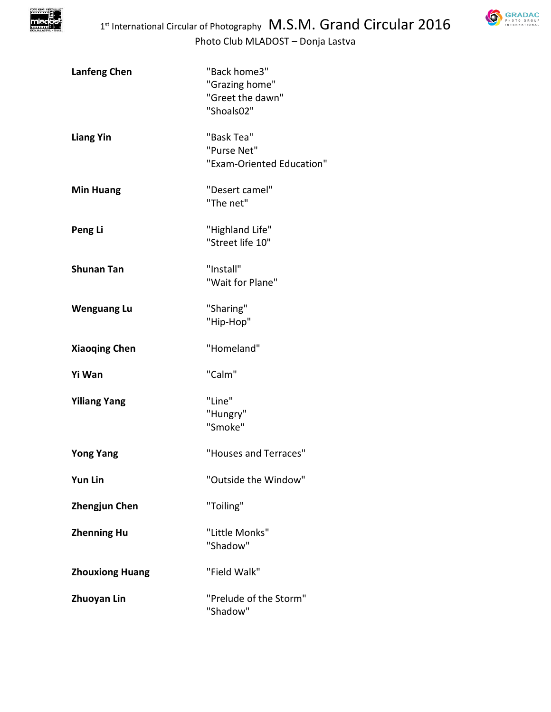

| <b>Lanfeng Chen</b>    | "Back home3"<br>"Grazing home"<br>"Greet the dawn"<br>"Shoals02" |
|------------------------|------------------------------------------------------------------|
| <b>Liang Yin</b>       | "Bask Tea"<br>"Purse Net"<br>"Exam-Oriented Education"           |
| <b>Min Huang</b>       | "Desert camel"<br>"The net"                                      |
| Peng Li                | "Highland Life"<br>"Street life 10"                              |
| <b>Shunan Tan</b>      | "Install"<br>"Wait for Plane"                                    |
| <b>Wenguang Lu</b>     | "Sharing"<br>"Hip-Hop"                                           |
| <b>Xiaoqing Chen</b>   | "Homeland"                                                       |
| Yi Wan                 | "Calm"                                                           |
| <b>Yiliang Yang</b>    | "Line"<br>"Hungry"<br>"Smoke"                                    |
| <b>Yong Yang</b>       | "Houses and Terraces"                                            |
| <b>Yun Lin</b>         | "Outside the Window"                                             |
| <b>Zhengjun Chen</b>   | "Toiling"                                                        |
| <b>Zhenning Hu</b>     | "Little Monks"<br>"Shadow"                                       |
| <b>Zhouxiong Huang</b> | "Field Walk"                                                     |
| <b>Zhuoyan Lin</b>     | "Prelude of the Storm"<br>"Shadow"                               |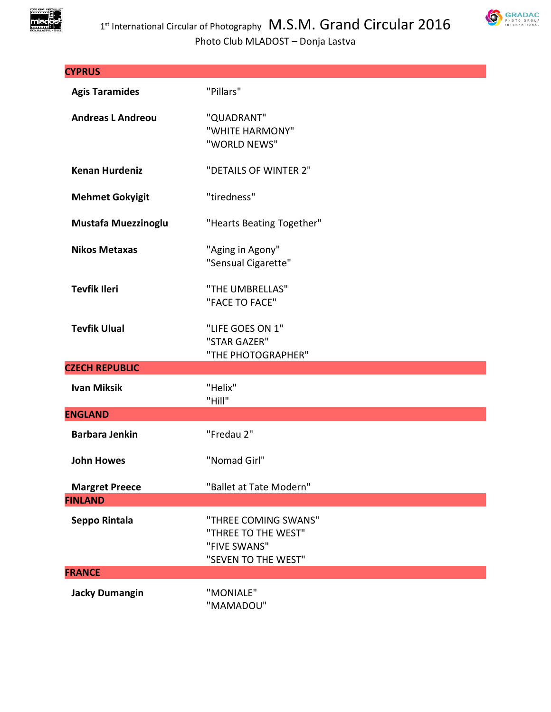



| <b>CYPRUS</b>              |                                                                                    |
|----------------------------|------------------------------------------------------------------------------------|
| <b>Agis Taramides</b>      | "Pillars"                                                                          |
| <b>Andreas L Andreou</b>   | "QUADRANT"<br>"WHITE HARMONY"<br>"WORLD NEWS"                                      |
| <b>Kenan Hurdeniz</b>      | "DETAILS OF WINTER 2"                                                              |
| <b>Mehmet Gokyigit</b>     | "tiredness"                                                                        |
| <b>Mustafa Muezzinoglu</b> | "Hearts Beating Together"                                                          |
| <b>Nikos Metaxas</b>       | "Aging in Agony"<br>"Sensual Cigarette"                                            |
| <b>Tevfik Ileri</b>        | "THE UMBRELLAS"<br>"FACE TO FACE"                                                  |
| <b>Tevfik Ulual</b>        | "LIFE GOES ON 1"<br>"STAR GAZER"<br>"THE PHOTOGRAPHER"                             |
| <b>CZECH REPUBLIC</b>      |                                                                                    |
| <b>Ivan Miksik</b>         | "Helix"<br>"Hill"                                                                  |
| <b>ENGLAND</b>             |                                                                                    |
| <b>Barbara Jenkin</b>      | "Fredau 2"                                                                         |
| <b>John Howes</b>          | "Nomad Girl"                                                                       |
| <b>Margret Preece</b>      | "Ballet at Tate Modern"                                                            |
| <b>FINLAND</b>             |                                                                                    |
| Seppo Rintala              | "THREE COMING SWANS"<br>"THREE TO THE WEST"<br>"FIVE SWANS"<br>"SEVEN TO THE WEST" |
| <b>FRANCE</b>              |                                                                                    |
| <b>Jacky Dumangin</b>      | "MONIALE"<br>"MAMADOU"                                                             |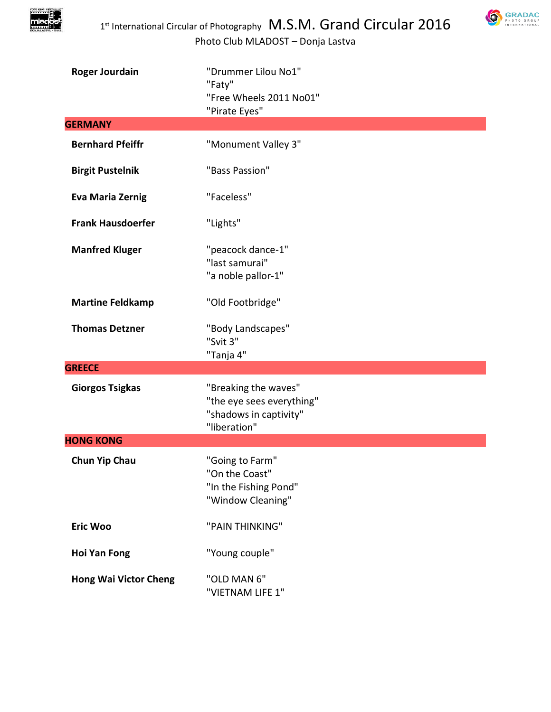

| <b>Roger Jourdain</b>        | "Drummer Lilou No1"<br>"Faty"<br>"Free Wheels 2011 No01"                                    |
|------------------------------|---------------------------------------------------------------------------------------------|
|                              | "Pirate Eyes"                                                                               |
| <b>GERMANY</b>               |                                                                                             |
| <b>Bernhard Pfeiffr</b>      | "Monument Valley 3"                                                                         |
| <b>Birgit Pustelnik</b>      | "Bass Passion"                                                                              |
| <b>Eva Maria Zernig</b>      | "Faceless"                                                                                  |
| <b>Frank Hausdoerfer</b>     | "Lights"                                                                                    |
| <b>Manfred Kluger</b>        | "peacock dance-1"<br>"last samurai"<br>"a noble pallor-1"                                   |
| <b>Martine Feldkamp</b>      | "Old Footbridge"                                                                            |
| <b>Thomas Detzner</b>        | "Body Landscapes"<br>"Svit 3"<br>"Tanja 4"                                                  |
| <b>GREECE</b>                |                                                                                             |
| <b>Giorgos Tsigkas</b>       | "Breaking the waves"<br>"the eye sees everything"<br>"shadows in captivity"<br>"liberation" |
| <b>HONG KONG</b>             |                                                                                             |
| <b>Chun Yip Chau</b>         | "Going to Farm"<br>"On the Coast"<br>"In the Fishing Pond"<br>"Window Cleaning"             |
| <b>Eric Woo</b>              | "PAIN THINKING"                                                                             |
| <b>Hoi Yan Fong</b>          | "Young couple"                                                                              |
| <b>Hong Wai Victor Cheng</b> | "OLD MAN 6"<br>"VIETNAM LIFE 1"                                                             |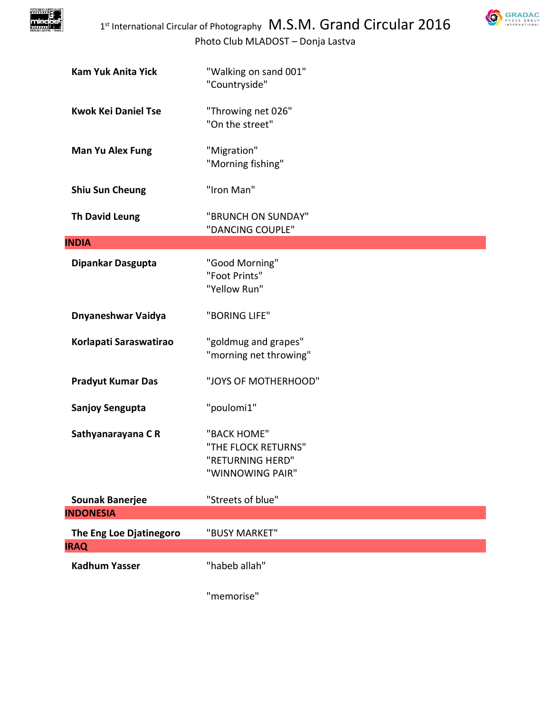



| <b>Kam Yuk Anita Yick</b>              | "Walking on sand 001"<br>"Countryside"                                     |
|----------------------------------------|----------------------------------------------------------------------------|
| <b>Kwok Kei Daniel Tse</b>             | "Throwing net 026"<br>"On the street"                                      |
| <b>Man Yu Alex Fung</b>                | "Migration"<br>"Morning fishing"                                           |
| <b>Shiu Sun Cheung</b>                 | "Iron Man"                                                                 |
| <b>Th David Leung</b>                  | "BRUNCH ON SUNDAY"<br>"DANCING COUPLE"                                     |
| <b>INDIA</b>                           |                                                                            |
| Dipankar Dasgupta                      | "Good Morning"<br>"Foot Prints"<br>"Yellow Run"                            |
| Dnyaneshwar Vaidya                     | "BORING LIFE"                                                              |
| Korlapati Saraswatirao                 | "goldmug and grapes"<br>"morning net throwing"                             |
| <b>Pradyut Kumar Das</b>               | "JOYS OF MOTHERHOOD"                                                       |
| <b>Sanjoy Sengupta</b>                 | "poulomi1"                                                                 |
| Sathyanarayana CR                      | "BACK HOME"<br>"THE FLOCK RETURNS"<br>"RETURNING HERD"<br>"WINNOWING PAIR" |
| <b>Sounak Banerjee</b>                 | "Streets of blue"                                                          |
| <b>INDONESIA</b>                       |                                                                            |
| The Eng Loe Djatinegoro<br><b>IRAQ</b> | "BUSY MARKET"                                                              |
|                                        |                                                                            |
| <b>Kadhum Yasser</b>                   | "habeb allah"                                                              |
|                                        | "memorise"                                                                 |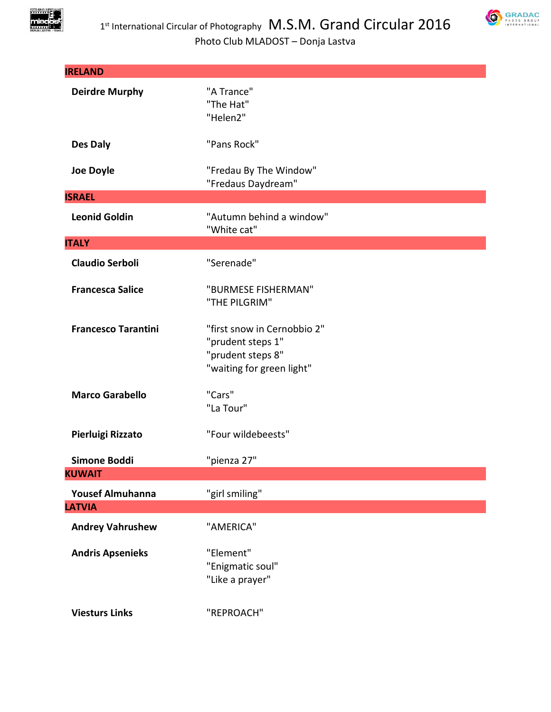



| <b>IRELAND</b>                           |                                                                                                    |
|------------------------------------------|----------------------------------------------------------------------------------------------------|
| <b>Deirdre Murphy</b>                    | "A Trance"<br>"The Hat"<br>"Helen2"                                                                |
| Des Daly                                 | "Pans Rock"                                                                                        |
| <b>Joe Doyle</b>                         | "Fredau By The Window"<br>"Fredaus Daydream"                                                       |
| <b>ISRAEL</b>                            |                                                                                                    |
| <b>Leonid Goldin</b>                     | "Autumn behind a window"<br>"White cat"                                                            |
| <b>ITALY</b>                             |                                                                                                    |
| <b>Claudio Serboli</b>                   | "Serenade"                                                                                         |
| <b>Francesca Salice</b>                  | "BURMESE FISHERMAN"<br>"THE PILGRIM"                                                               |
| <b>Francesco Tarantini</b>               | "first snow in Cernobbio 2"<br>"prudent steps 1"<br>"prudent steps 8"<br>"waiting for green light" |
| <b>Marco Garabello</b>                   | "Cars"<br>"La Tour"                                                                                |
| Pierluigi Rizzato                        | "Four wildebeests"                                                                                 |
| <b>Simone Boddi</b>                      | "pienza 27"                                                                                        |
| <b>KUWAIT</b>                            |                                                                                                    |
| <b>Yousef Almuhanna</b><br><b>LATVIA</b> | "girl smiling"                                                                                     |
|                                          |                                                                                                    |
| <b>Andrey Vahrushew</b>                  | "AMERICA"                                                                                          |
| <b>Andris Apsenieks</b>                  | "Element"<br>"Enigmatic soul"<br>"Like a prayer"                                                   |
| <b>Viesturs Links</b>                    | "REPROACH"                                                                                         |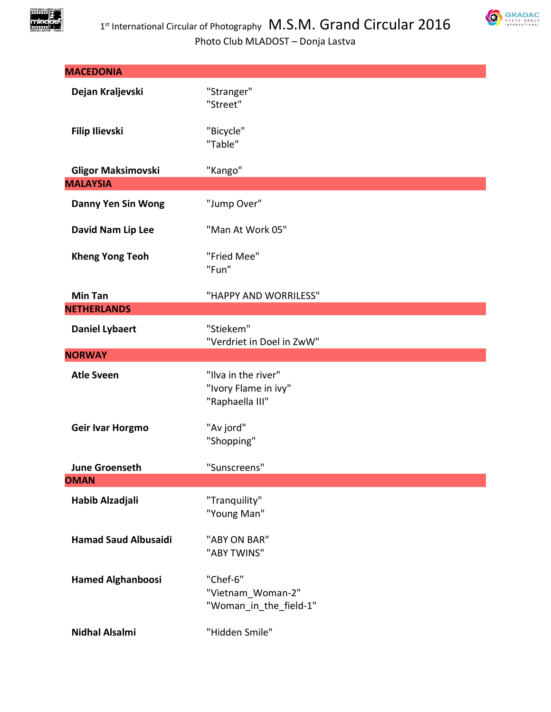



| <b>MACEDONIA</b>                     |                                                                |
|--------------------------------------|----------------------------------------------------------------|
| Dejan Kraljevski                     | "Stranger"<br>"Street"                                         |
| <b>Filip Ilievski</b>                | "Bicycle"<br>"Table"                                           |
| <b>Gligor Maksimovski</b>            | "Kango"                                                        |
| <b>MALAYSIA</b>                      |                                                                |
| <b>Danny Yen Sin Wong</b>            | "Jump Over"                                                    |
| David Nam Lip Lee                    | "Man At Work 05"                                               |
| <b>Kheng Yong Teoh</b>               | "Fried Mee"<br>"Fun"                                           |
| <b>Min Tan</b>                       | "HAPPY AND WORRILESS"                                          |
| <b>NETHERLANDS</b>                   |                                                                |
| <b>Daniel Lybaert</b>                | "Stiekem"<br>"Verdriet in Doel in ZwW"                         |
| <b>NORWAY</b>                        |                                                                |
| <b>Atle Sveen</b>                    | "Ilva in the river"<br>"Ivory Flame in ivy"<br>"Raphaella III" |
| Geir Ivar Horgmo                     | "Av jord"<br>"Shopping"                                        |
| <b>June Groenseth</b><br><b>OMAN</b> | "Sunscreens"                                                   |
| Habib Alzadjali                      | "Tranquility"<br>"Young Man"                                   |
| <b>Hamad Saud Albusaidi</b>          | "ABY ON BAR"<br>"ABY TWINS"                                    |
| <b>Hamed Alghanboosi</b>             | "Chef-6"<br>"Vietnam Woman-2"<br>"Woman in the field-1"        |
| <b>Nidhal Alsalmi</b>                | "Hidden Smile"                                                 |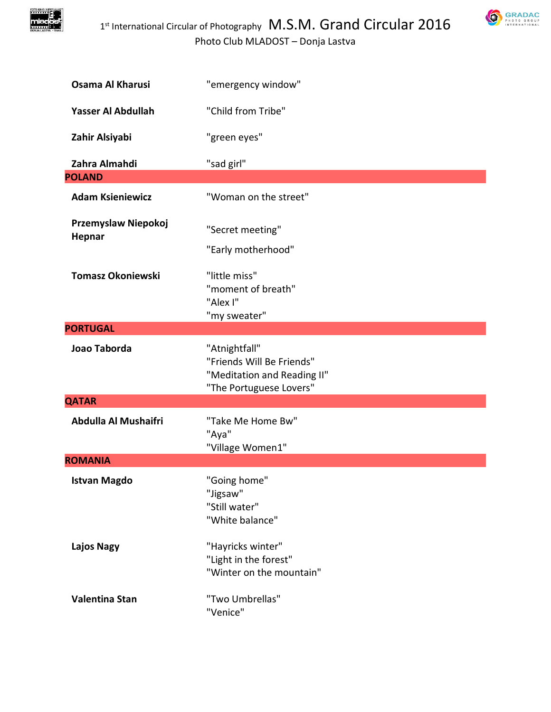

| Osama Al Kharusi              | "emergency window"                                                                                   |
|-------------------------------|------------------------------------------------------------------------------------------------------|
| Yasser Al Abdullah            | "Child from Tribe"                                                                                   |
| Zahir Alsiyabi                | "green eyes"                                                                                         |
| Zahra Almahdi                 | "sad girl"                                                                                           |
| <b>POLAND</b>                 |                                                                                                      |
| <b>Adam Ksieniewicz</b>       | "Woman on the street"                                                                                |
| Przemyslaw Niepokoj<br>Hepnar | "Secret meeting"<br>"Early motherhood"                                                               |
| <b>Tomasz Okoniewski</b>      | "little miss"<br>"moment of breath"<br>"Alex I"<br>"my sweater"                                      |
| <b>PORTUGAL</b>               |                                                                                                      |
| Joao Taborda                  | "Atnightfall"<br>"Friends Will Be Friends"<br>"Meditation and Reading II"<br>"The Portuguese Lovers" |
| <b>QATAR</b>                  |                                                                                                      |
| Abdulla Al Mushaifri          | "Take Me Home Bw"<br>"Aya"<br>"Village Women1"                                                       |
| <b>ROMANIA</b>                |                                                                                                      |
| <b>Istvan Magdo</b>           | "Going home"<br>"Jigsaw"<br>"Still water"<br>"White balance"                                         |
| <b>Lajos Nagy</b>             | "Hayricks winter"<br>"Light in the forest"<br>"Winter on the mountain"                               |
| Valentina Stan                | "Two Umbrellas"<br>"Venice"                                                                          |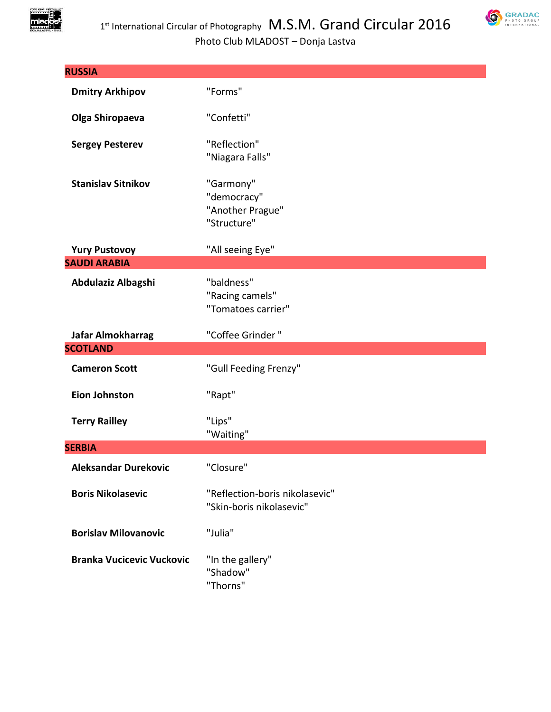

| <b>RUSSIA</b>                    |                                                             |
|----------------------------------|-------------------------------------------------------------|
| <b>Dmitry Arkhipov</b>           | "Forms"                                                     |
| Olga Shiropaeva                  | "Confetti"                                                  |
| <b>Sergey Pesterev</b>           | "Reflection"<br>"Niagara Falls"                             |
| <b>Stanislav Sitnikov</b>        | "Garmony"<br>"democracy"<br>"Another Prague"<br>"Structure" |
| <b>Yury Pustovoy</b>             | "All seeing Eye"                                            |
| <b>SAUDI ARABIA</b>              |                                                             |
| Abdulaziz Albagshi               | "baldness"<br>"Racing camels"<br>"Tomatoes carrier"         |
| Jafar Almokharrag                | "Coffee Grinder"                                            |
| <b>SCOTLAND</b>                  |                                                             |
| <b>Cameron Scott</b>             | "Gull Feeding Frenzy"                                       |
| <b>Eion Johnston</b>             | "Rapt"                                                      |
| <b>Terry Railley</b>             | "Lips"<br>"Waiting"                                         |
| <b>SERBIA</b>                    |                                                             |
| <b>Aleksandar Durekovic</b>      | "Closure"                                                   |
| <b>Boris Nikolasevic</b>         | "Reflection-boris nikolasevic"<br>"Skin-boris nikolasevic"  |
| <b>Borislav Milovanovic</b>      | "Julia"                                                     |
| <b>Branka Vucicevic Vuckovic</b> | "In the gallery"<br>"Shadow"<br>"Thorns"                    |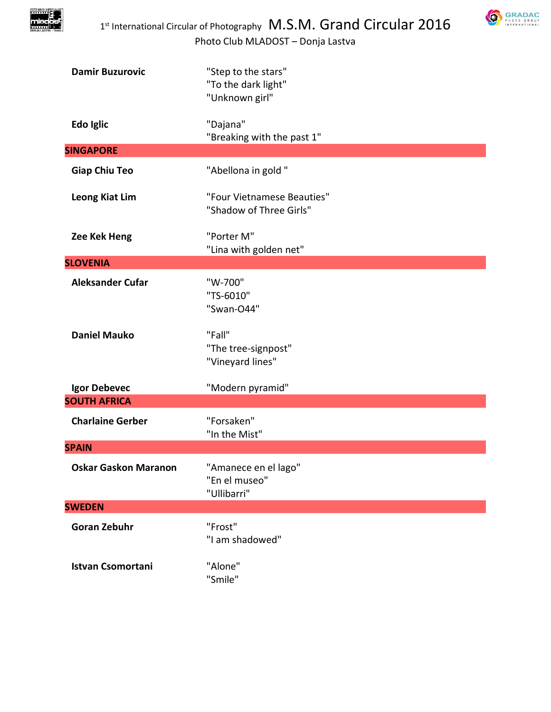



| <b>Damir Buzurovic</b>   | "Step to the stars"<br>"To the dark light"<br>"Unknown girl" |
|--------------------------|--------------------------------------------------------------|
| Edo Iglic                | "Dajana"<br>"Breaking with the past 1"                       |
| <b>SINGAPORE</b>         |                                                              |
| <b>Giap Chiu Teo</b>     | "Abellona in gold"                                           |
| <b>Leong Kiat Lim</b>    | "Four Vietnamese Beauties"<br>"Shadow of Three Girls"        |
| Zee Kek Heng             | "Porter M"<br>"Lina with golden net"                         |
| <b>SLOVENIA</b>          |                                                              |
| <b>Aleksander Cufar</b>  | "W-700"<br>"TS-6010"<br>"Swan-O44"                           |
| <b>Daniel Mauko</b>      | "Fall"<br>"The tree-signpost"<br>"Vineyard lines"            |
| Igor Debevec             | "Modern pyramid"                                             |
| <b>SOUTH AFRICA</b>      |                                                              |
| <b>Charlaine Gerber</b>  | "Forsaken"<br>"In the Mist"                                  |
| <b>SPAIN</b>             |                                                              |
| Oskar Gaskon Maranon     | "Amanece en el lago"<br>"En el museo"<br>"Ullibarri"         |
| <b>SWEDEN</b>            |                                                              |
| <b>Goran Zebuhr</b>      | "Frost"<br>"I am shadowed"                                   |
| <b>Istvan Csomortani</b> | "Alone"<br>"Smile"                                           |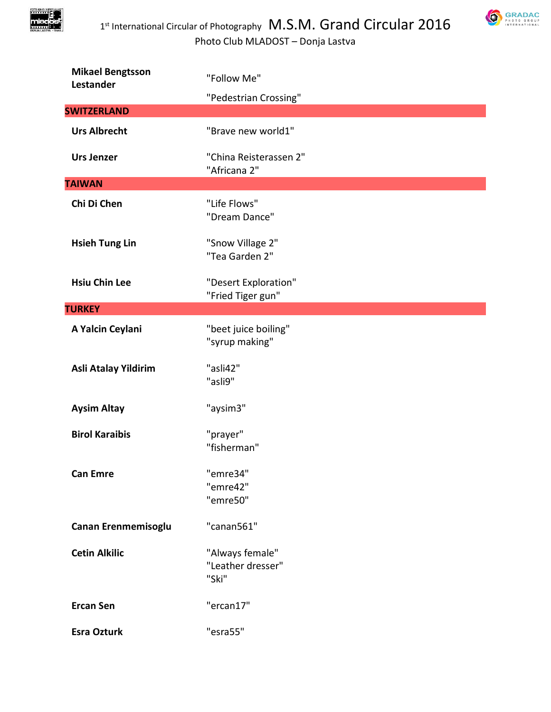

| <b>Mikael Bengtsson</b><br>Lestander | "Follow Me"                                   |
|--------------------------------------|-----------------------------------------------|
|                                      | "Pedestrian Crossing"                         |
| <b>SWITZERLAND</b>                   |                                               |
| <b>Urs Albrecht</b>                  | "Brave new world1"                            |
| <b>Urs Jenzer</b>                    | "China Reisterassen 2"<br>"Africana 2"        |
| <b>TAIWAN</b>                        |                                               |
| Chi Di Chen                          | "Life Flows"<br>"Dream Dance"                 |
| <b>Hsieh Tung Lin</b>                | "Snow Village 2"<br>"Tea Garden 2"            |
| <b>Hsiu Chin Lee</b>                 | "Desert Exploration"<br>"Fried Tiger gun"     |
| <b>TURKEY</b>                        |                                               |
| A Yalcin Ceylani                     | "beet juice boiling"<br>"syrup making"        |
| Asli Atalay Yildirim                 | "asli42"<br>"asli9"                           |
| <b>Aysim Altay</b>                   | "aysim3"                                      |
| <b>Birol Karaibis</b>                | "prayer"<br>"fisherman"                       |
| <b>Can Emre</b>                      | "emre34"<br>"emre42"<br>"emre50"              |
| Canan Erenmemisoglu                  | "canan561"                                    |
| <b>Cetin Alkilic</b>                 | "Always female"<br>"Leather dresser"<br>"Ski" |
| <b>Ercan Sen</b>                     | "ercan17"                                     |
| <b>Esra Ozturk</b>                   | "esra55"                                      |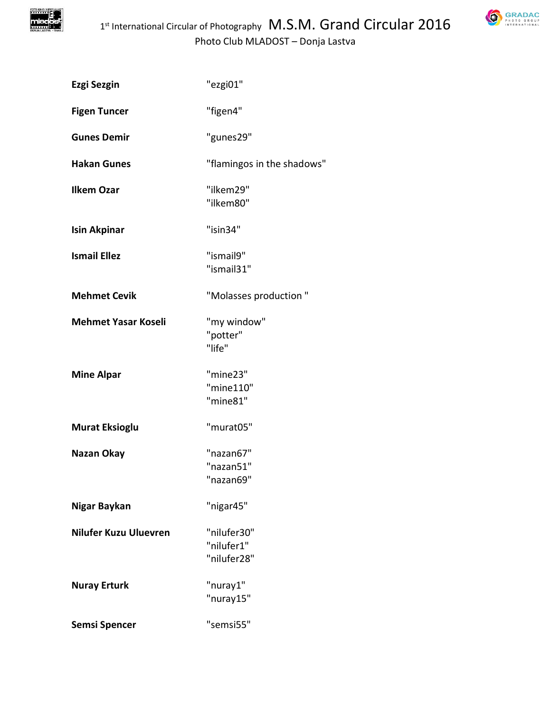

| Ezgi Sezgin                | "ezgi01"                                 |
|----------------------------|------------------------------------------|
| <b>Figen Tuncer</b>        | "figen4"                                 |
| <b>Gunes Demir</b>         | "gunes29"                                |
| <b>Hakan Gunes</b>         | "flamingos in the shadows"               |
| <b>Ilkem Ozar</b>          | "ilkem29"<br>"ilkem80"                   |
| Isin Akpinar               | "isin34"                                 |
| <b>Ismail Ellez</b>        | "ismail9"<br>"ismail31"                  |
| <b>Mehmet Cevik</b>        | "Molasses production"                    |
| <b>Mehmet Yasar Koseli</b> | "my window"<br>"potter"<br>"life"        |
| <b>Mine Alpar</b>          | "mine23"<br>"mine110"<br>"mine81"        |
| <b>Murat Eksioglu</b>      | "murat05"                                |
| Nazan Okay                 | "nazan67"<br>"nazan51<br>"nazan69"       |
| Nigar Baykan               | "nigar45"                                |
| Nilufer Kuzu Uluevren      | "nilufer30"<br>"nilufer1"<br>"nilufer28" |
| <b>Nuray Erturk</b>        | "nuray1"<br>"nuray15"                    |
| Semsi Spencer              | "semsi55"                                |
|                            |                                          |

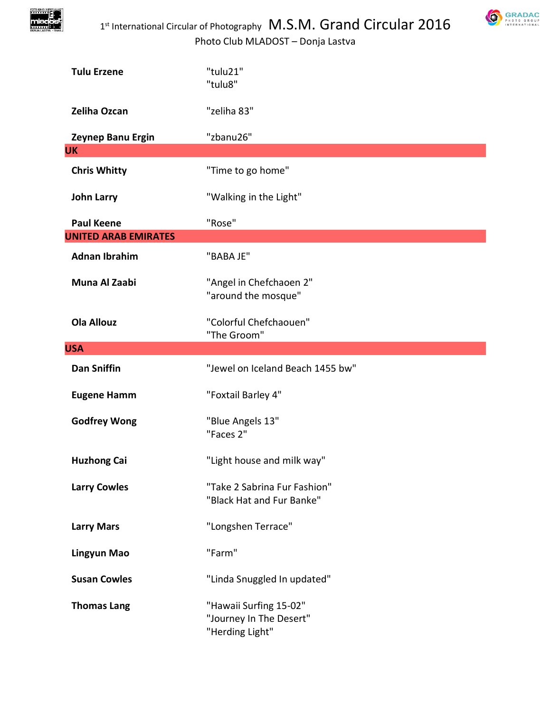



| <b>Tulu Erzene</b>          | "tulu21"<br>"tulu8"                                                  |
|-----------------------------|----------------------------------------------------------------------|
| Zeliha Ozcan                | "zeliha 83"                                                          |
| Zeynep Banu Ergin           | "zbanu26"                                                            |
| <b>UK</b>                   |                                                                      |
| <b>Chris Whitty</b>         | "Time to go home"                                                    |
| <b>John Larry</b>           | "Walking in the Light"                                               |
| <b>Paul Keene</b>           | "Rose"                                                               |
| <b>UNITED ARAB EMIRATES</b> |                                                                      |
| <b>Adnan Ibrahim</b>        | "BABA JE"                                                            |
| Muna Al Zaabi               | "Angel in Chefchaoen 2"<br>"around the mosque"                       |
| <b>Ola Allouz</b>           | "Colorful Chefchaouen"<br>"The Groom"                                |
| <b>USA</b>                  |                                                                      |
| <b>Dan Sniffin</b>          | "Jewel on Iceland Beach 1455 bw"                                     |
| <b>Eugene Hamm</b>          | "Foxtail Barley 4"                                                   |
| <b>Godfrey Wong</b>         | "Blue Angels 13"<br>"Faces 2"                                        |
| <b>Huzhong Cai</b>          | "Light house and milk way"                                           |
| <b>Larry Cowles</b>         | "Take 2 Sabrina Fur Fashion"<br>"Black Hat and Fur Banke"            |
| <b>Larry Mars</b>           | "Longshen Terrace"                                                   |
| <b>Lingyun Mao</b>          | "Farm"                                                               |
| <b>Susan Cowles</b>         | "Linda Snuggled In updated"                                          |
| <b>Thomas Lang</b>          | "Hawaii Surfing 15-02"<br>"Journey In The Desert"<br>"Herding Light" |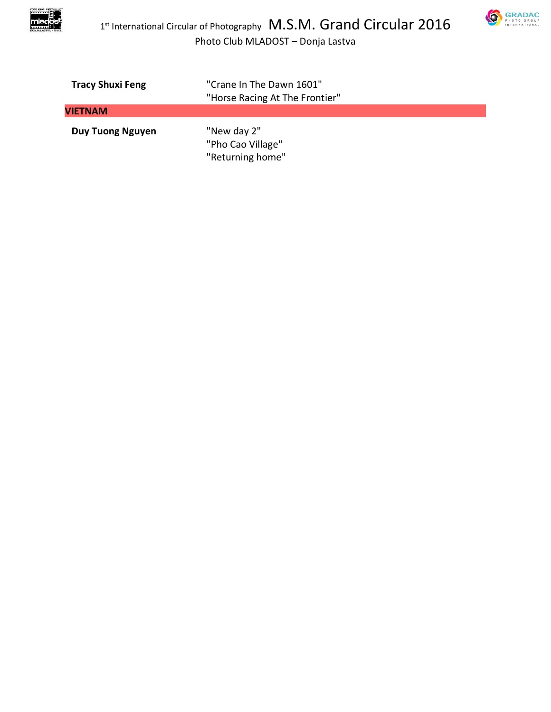



| <b>Tracy Shuxi Feng</b> | "Crane In The Dawn 1601"                             |
|-------------------------|------------------------------------------------------|
|                         | "Horse Racing At The Frontier"                       |
| <b>VIETNAM</b>          |                                                      |
| <b>Duy Tuong Nguyen</b> | "New day 2"<br>"Pho Cao Village"<br>"Returning home" |
|                         |                                                      |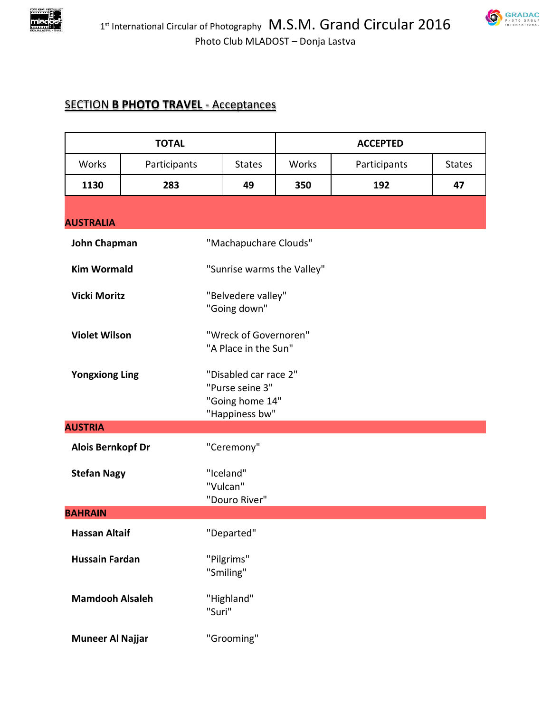



## **SECTION B PHOTO TRAVEL - Acceptances**

|                          | <b>TOTAL</b> |                                                                               |       | <b>ACCEPTED</b> |               |
|--------------------------|--------------|-------------------------------------------------------------------------------|-------|-----------------|---------------|
| <b>Works</b>             | Participants | <b>States</b>                                                                 | Works | Participants    | <b>States</b> |
| 1130                     | 283          | 49                                                                            | 350   | 192             | 47            |
| <b>AUSTRALIA</b>         |              |                                                                               |       |                 |               |
| <b>John Chapman</b>      |              | "Machapuchare Clouds"                                                         |       |                 |               |
| <b>Kim Wormald</b>       |              | "Sunrise warms the Valley"                                                    |       |                 |               |
| <b>Vicki Moritz</b>      |              | "Belvedere valley"<br>"Going down"                                            |       |                 |               |
| <b>Violet Wilson</b>     |              | "Wreck of Governoren"<br>"A Place in the Sun"                                 |       |                 |               |
| <b>Yongxiong Ling</b>    |              | "Disabled car race 2"<br>"Purse seine 3"<br>"Going home 14"<br>"Happiness bw" |       |                 |               |
| <b>AUSTRIA</b>           |              |                                                                               |       |                 |               |
| <b>Alois Bernkopf Dr</b> |              | "Ceremony"                                                                    |       |                 |               |
| <b>Stefan Nagy</b>       |              | "Iceland"<br>"Vulcan"<br>"Douro River"                                        |       |                 |               |
| <b>BAHRAIN</b>           |              |                                                                               |       |                 |               |
| <b>Hassan Altaif</b>     |              | "Departed"                                                                    |       |                 |               |
| <b>Hussain Fardan</b>    |              | "Pilgrims"<br>"Smiling"                                                       |       |                 |               |
| <b>Mamdooh Alsaleh</b>   |              | "Highland"<br>"Suri"                                                          |       |                 |               |
| <b>Muneer Al Najjar</b>  |              | "Grooming"                                                                    |       |                 |               |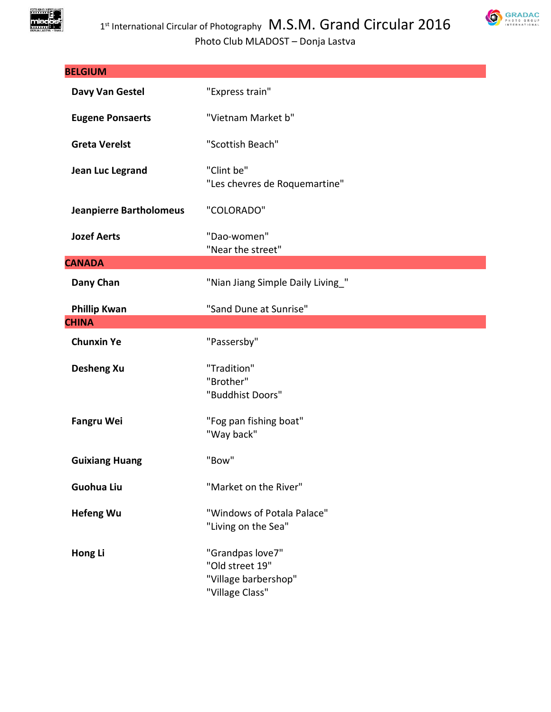

| <b>BELGIUM</b>                 |                                                                                |
|--------------------------------|--------------------------------------------------------------------------------|
| Davy Van Gestel                | "Express train"                                                                |
| <b>Eugene Ponsaerts</b>        | "Vietnam Market b"                                                             |
| <b>Greta Verelst</b>           | "Scottish Beach"                                                               |
| Jean Luc Legrand               | "Clint be"<br>"Les chevres de Roquemartine"                                    |
| <b>Jeanpierre Bartholomeus</b> | "COLORADO"                                                                     |
| <b>Jozef Aerts</b>             | "Dao-women"<br>"Near the street"                                               |
| <b>CANADA</b>                  |                                                                                |
| Dany Chan                      | "Nian Jiang Simple Daily Living_"                                              |
| <b>Phillip Kwan</b>            | "Sand Dune at Sunrise"                                                         |
| <b>CHINA</b>                   |                                                                                |
| <b>Chunxin Ye</b>              | "Passersby"                                                                    |
| <b>Desheng Xu</b>              | "Tradition"<br>"Brother"<br>"Buddhist Doors"                                   |
| <b>Fangru Wei</b>              | "Fog pan fishing boat"<br>"Way back"                                           |
| <b>Guixiang Huang</b>          | "Bow"                                                                          |
| <b>Guohua Liu</b>              | "Market on the River"                                                          |
| <b>Hefeng Wu</b>               | "Windows of Potala Palace"<br>"Living on the Sea"                              |
| Hong Li                        | "Grandpas love7"<br>"Old street 19"<br>"Village barbershop"<br>"Village Class" |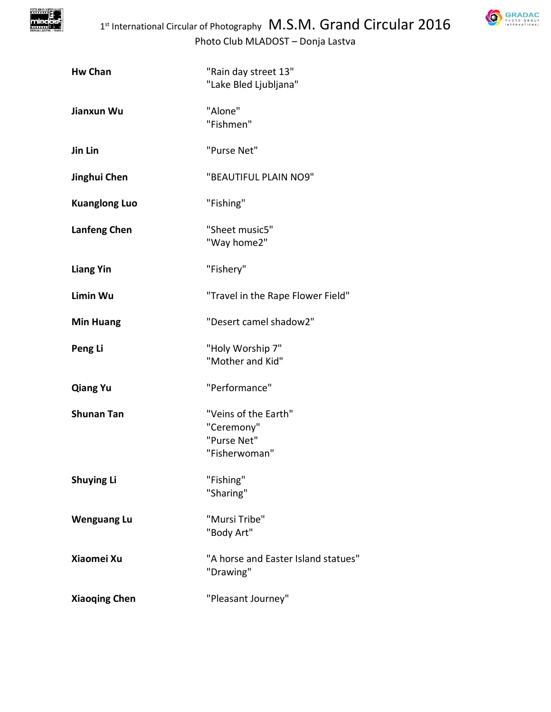

| <b>Hw Chan</b>       | "Rain day street 13"<br>"Lake Bled Ljubljana"                      |
|----------------------|--------------------------------------------------------------------|
| Jianxun Wu           | "Alone"<br>"Fishmen"                                               |
| Jin Lin              | "Purse Net"                                                        |
| Jinghui Chen         | "BEAUTIFUL PLAIN NO9"                                              |
| <b>Kuanglong Luo</b> | "Fishing"                                                          |
| <b>Lanfeng Chen</b>  | "Sheet music5"<br>"Way home2"                                      |
| <b>Liang Yin</b>     | "Fishery"                                                          |
| Limin Wu             | "Travel in the Rape Flower Field"                                  |
| <b>Min Huang</b>     | "Desert camel shadow2"                                             |
| Peng Li              | "Holy Worship 7"<br>"Mother and Kid"                               |
| <b>Qiang Yu</b>      | "Performance"                                                      |
| <b>Shunan Tan</b>    | "Veins of the Earth"<br>"Ceremony"<br>"Purse Net"<br>"Fisherwoman" |
| <b>Shuying Li</b>    | "Fishing"<br>"Sharing"                                             |
| <b>Wenguang Lu</b>   | "Mursi Tribe"<br>"Body Art"                                        |
| Xiaomei Xu           | "A horse and Easter Island statues"<br>"Drawing"                   |
| <b>Xiaoqing Chen</b> | "Pleasant Journey"                                                 |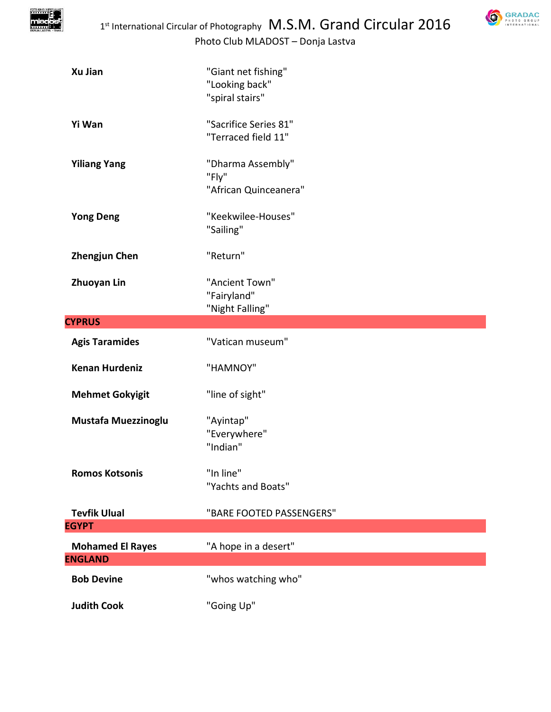

| Xu Jian                 | "Giant net fishing"<br>"Looking back"<br>"spiral stairs" |
|-------------------------|----------------------------------------------------------|
| Yi Wan                  | "Sacrifice Series 81"<br>"Terraced field 11"             |
| <b>Yiliang Yang</b>     | "Dharma Assembly"<br>"Fly"<br>"African Quinceanera"      |
| <b>Yong Deng</b>        | "Keekwilee-Houses"<br>"Sailing"                          |
| <b>Zhengjun Chen</b>    | "Return"                                                 |
| <b>Zhuoyan Lin</b>      | "Ancient Town"<br>"Fairyland"<br>"Night Falling"         |
| <b>CYPRUS</b>           |                                                          |
| <b>Agis Taramides</b>   | "Vatican museum"                                         |
| <b>Kenan Hurdeniz</b>   | "HAMNOY"                                                 |
| <b>Mehmet Gokyigit</b>  | "line of sight"                                          |
| Mustafa Muezzinoglu     | "Ayintap"<br>"Everywhere"<br>"Indian"                    |
| <b>Romos Kotsonis</b>   | "In line"<br>"Yachts and Boats"                          |
| <b>Tevfik Ulual</b>     | "BARE FOOTED PASSENGERS"                                 |
| <b>EGYPT</b>            |                                                          |
| <b>Mohamed El Rayes</b> | "A hope in a desert"                                     |
| <b>ENGLAND</b>          |                                                          |
| <b>Bob Devine</b>       | "whos watching who"                                      |
| <b>Judith Cook</b>      | "Going Up"                                               |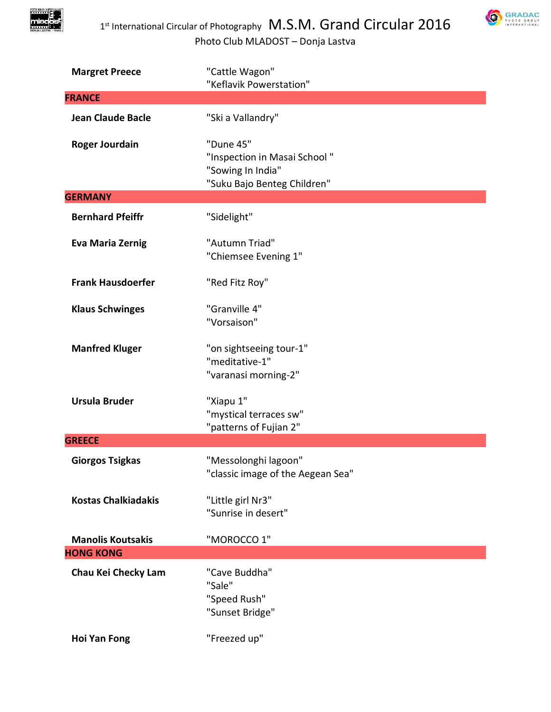

| <b>Margret Preece</b>      | "Cattle Wagon"<br>"Keflavik Powerstation"                                                     |
|----------------------------|-----------------------------------------------------------------------------------------------|
| <b>FRANCE</b>              |                                                                                               |
| <b>Jean Claude Bacle</b>   | "Ski a Vallandry"                                                                             |
|                            |                                                                                               |
| <b>Roger Jourdain</b>      | "Dune 45"<br>"Inspection in Masai School"<br>"Sowing In India"<br>"Suku Bajo Benteg Children" |
| <b>GERMANY</b>             |                                                                                               |
| <b>Bernhard Pfeiffr</b>    | "Sidelight"                                                                                   |
| <b>Eva Maria Zernig</b>    | "Autumn Triad"<br>"Chiemsee Evening 1"                                                        |
| <b>Frank Hausdoerfer</b>   | "Red Fitz Roy"                                                                                |
| <b>Klaus Schwinges</b>     | "Granville 4"<br>"Vorsaison"                                                                  |
| <b>Manfred Kluger</b>      | "on sightseeing tour-1"<br>"meditative-1"<br>"varanasi morning-2"                             |
| <b>Ursula Bruder</b>       | "Xiapu 1"<br>"mystical terraces sw"<br>"patterns of Fujian 2"                                 |
| <b>GREECE</b>              |                                                                                               |
| <b>Giorgos Tsigkas</b>     | "Messolonghi lagoon"<br>"classic image of the Aegean Sea"                                     |
| <b>Kostas Chalkiadakis</b> | "Little girl Nr3"<br>"Sunrise in desert"                                                      |
| <b>Manolis Koutsakis</b>   | "MOROCCO 1"                                                                                   |
| <b>HONG KONG</b>           |                                                                                               |
| Chau Kei Checky Lam        | "Cave Buddha"<br>"Sale"<br>"Speed Rush"<br>"Sunset Bridge"                                    |
| <b>Hoi Yan Fong</b>        | "Freezed up"                                                                                  |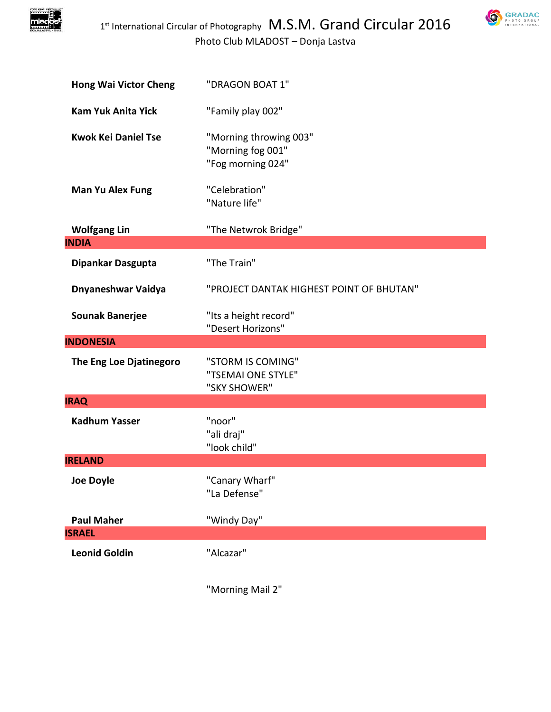

Photo Club MLADOST – Donja Lastva

| <b>Hong Wai Victor Cheng</b> | "DRAGON BOAT 1"                                                  |
|------------------------------|------------------------------------------------------------------|
| <b>Kam Yuk Anita Yick</b>    | "Family play 002"                                                |
| <b>Kwok Kei Daniel Tse</b>   | "Morning throwing 003"<br>"Morning fog 001"<br>"Fog morning 024" |
| <b>Man Yu Alex Fung</b>      | "Celebration"<br>"Nature life"                                   |
| <b>Wolfgang Lin</b>          | "The Netwrok Bridge"                                             |
| <b>INDIA</b>                 |                                                                  |
| Dipankar Dasgupta            | "The Train"                                                      |
| Dnyaneshwar Vaidya           | "PROJECT DANTAK HIGHEST POINT OF BHUTAN"                         |
| <b>Sounak Banerjee</b>       | "Its a height record"<br>"Desert Horizons"                       |
| <b>INDONESIA</b>             |                                                                  |
| The Eng Loe Djatinegoro      | "STORM IS COMING"<br>"TSEMAI ONE STYLE"<br>"SKY SHOWER"          |
| <b>IRAQ</b>                  |                                                                  |
| <b>Kadhum Yasser</b>         | "noor"<br>"ali draj"<br>"look child"                             |
| <b>IRELAND</b>               |                                                                  |
| <b>Joe Doyle</b>             | "Canary Wharf"<br>"La Defense"                                   |
| <b>Paul Maher</b>            | "Windy Day"                                                      |
| <b>ISRAEL</b>                |                                                                  |
| <b>Leonid Goldin</b>         | "Alcazar"                                                        |

"Morning Mail 2"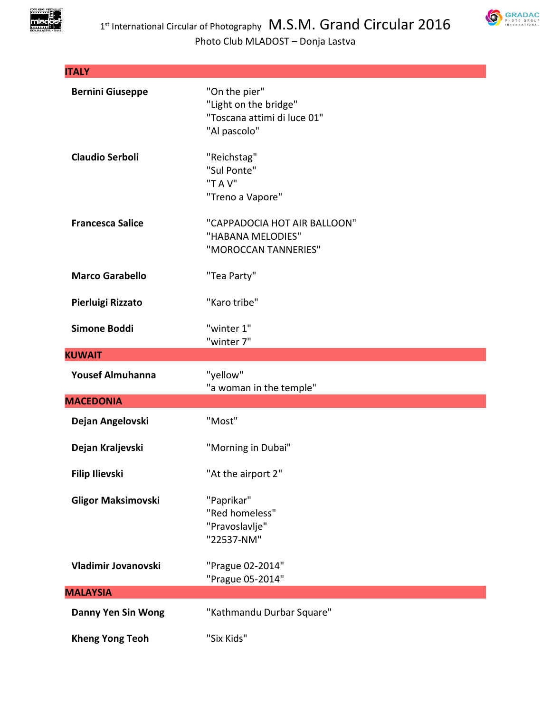

| <b>ITALY</b>              |                                                                                       |
|---------------------------|---------------------------------------------------------------------------------------|
| <b>Bernini Giuseppe</b>   | "On the pier"<br>"Light on the bridge"<br>"Toscana attimi di luce 01"<br>"Al pascolo" |
| <b>Claudio Serboli</b>    | "Reichstag"<br>"Sul Ponte"<br>"T A V"<br>"Treno a Vapore"                             |
| <b>Francesca Salice</b>   | "CAPPADOCIA HOT AIR BALLOON"<br>"HABANA MELODIES"<br>"MOROCCAN TANNERIES"             |
| <b>Marco Garabello</b>    | "Tea Party"                                                                           |
| Pierluigi Rizzato         | "Karo tribe"                                                                          |
| Simone Boddi              | "winter 1"<br>"winter 7"                                                              |
| <b>KUWAIT</b>             |                                                                                       |
|                           |                                                                                       |
| <b>Yousef Almuhanna</b>   | "yellow"                                                                              |
| <b>MACEDONIA</b>          | "a woman in the temple"                                                               |
| Dejan Angelovski          | "Most"                                                                                |
| Dejan Kraljevski          | "Morning in Dubai"                                                                    |
| <b>Filip Ilievski</b>     | "At the airport 2"                                                                    |
| <b>Gligor Maksimovski</b> | "Paprikar"<br>"Red homeless"<br>"Pravoslavlje"<br>"22537-NM"                          |
| Vladimir Jovanovski       | "Prague 02-2014"<br>"Prague 05-2014"                                                  |
| <b>MALAYSIA</b>           |                                                                                       |
| <b>Danny Yen Sin Wong</b> | "Kathmandu Durbar Square"                                                             |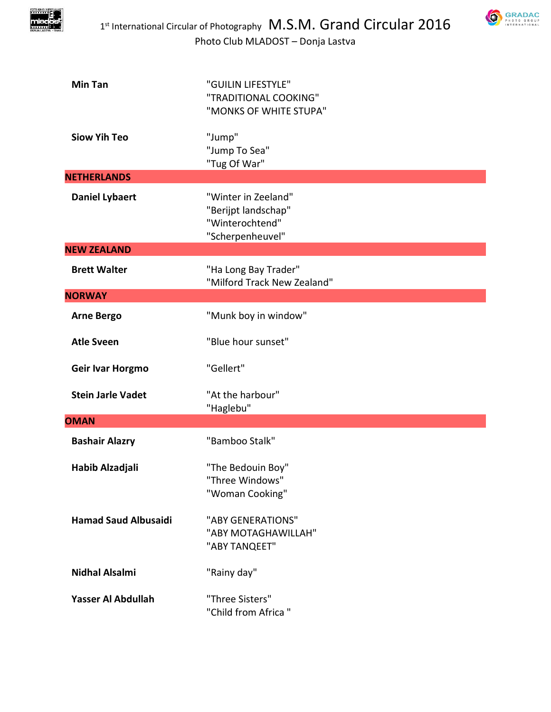



| <b>Min Tan</b>              | "GUILIN LIFESTYLE"<br>"TRADITIONAL COOKING"<br>"MONKS OF WHITE STUPA"             |
|-----------------------------|-----------------------------------------------------------------------------------|
| <b>Siow Yih Teo</b>         | "Jump"<br>"Jump To Sea"<br>"Tug Of War"                                           |
| <b>NETHERLANDS</b>          |                                                                                   |
| <b>Daniel Lybaert</b>       | "Winter in Zeeland"<br>"Berijpt landschap"<br>"Winterochtend"<br>"Scherpenheuvel" |
| <b>NEW ZEALAND</b>          |                                                                                   |
| <b>Brett Walter</b>         | "Ha Long Bay Trader"<br>"Milford Track New Zealand"                               |
| <b>NORWAY</b>               |                                                                                   |
| <b>Arne Bergo</b>           | "Munk boy in window"                                                              |
| <b>Atle Sveen</b>           | "Blue hour sunset"                                                                |
| Geir Ivar Horgmo            | "Gellert"                                                                         |
| <b>Stein Jarle Vadet</b>    | "At the harbour"<br>"Haglebu"                                                     |
| <b>OMAN</b>                 |                                                                                   |
| <b>Bashair Alazry</b>       | "Bamboo Stalk"                                                                    |
| Habib Alzadjali             | "The Bedouin Boy"<br>"Three Windows"<br>"Woman Cooking"                           |
| <b>Hamad Saud Albusaidi</b> | "ABY GENERATIONS"<br>"ABY MOTAGHAWILLAH"<br>"ABY TANQEET"                         |
| <b>Nidhal Alsalmi</b>       | "Rainy day"                                                                       |
| Yasser Al Abdullah          | "Three Sisters"<br>"Child from Africa"                                            |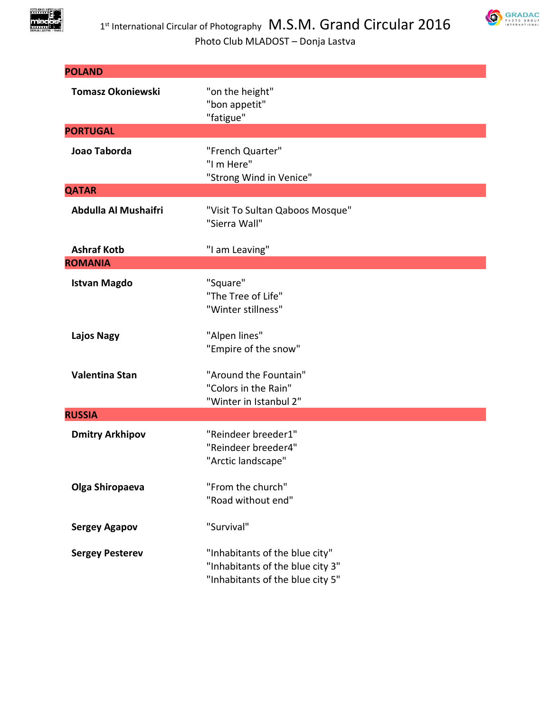



| <b>POLAND</b>            |                                                                                                        |  |
|--------------------------|--------------------------------------------------------------------------------------------------------|--|
| <b>Tomasz Okoniewski</b> | "on the height"<br>"bon appetit"<br>"fatigue"                                                          |  |
| <b>PORTUGAL</b>          |                                                                                                        |  |
| Joao Taborda             | "French Quarter"<br>"I m Here"<br>"Strong Wind in Venice"                                              |  |
| <b>QATAR</b>             |                                                                                                        |  |
| Abdulla Al Mushaifri     | "Visit To Sultan Qaboos Mosque"<br>"Sierra Wall"                                                       |  |
| <b>Ashraf Kotb</b>       | "I am Leaving"                                                                                         |  |
| <b>ROMANIA</b>           |                                                                                                        |  |
| <b>Istvan Magdo</b>      | "Square"<br>"The Tree of Life"<br>"Winter stillness"                                                   |  |
| <b>Lajos Nagy</b>        | "Alpen lines"<br>"Empire of the snow"                                                                  |  |
| Valentina Stan           | "Around the Fountain"<br>"Colors in the Rain"<br>"Winter in Istanbul 2"                                |  |
| <b>RUSSIA</b>            |                                                                                                        |  |
| <b>Dmitry Arkhipov</b>   | "Reindeer breeder1"<br>"Reindeer breeder4"<br>"Arctic landscape"                                       |  |
| Olga Shiropaeva          | "From the church"<br>"Road without end"                                                                |  |
| <b>Sergey Agapov</b>     | "Survival"                                                                                             |  |
| <b>Sergey Pesterev</b>   | "Inhabitants of the blue city"<br>"Inhabitants of the blue city 3"<br>"Inhabitants of the blue city 5" |  |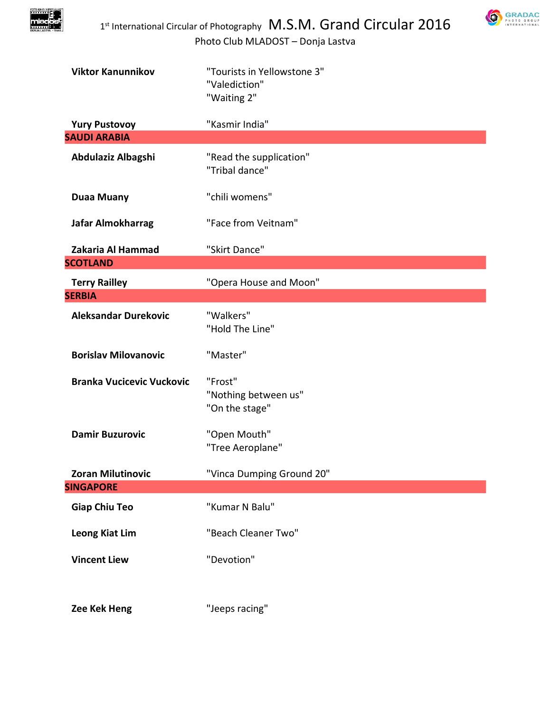

| <b>Viktor Kanunnikov</b>                    | "Tourists in Yellowstone 3"<br>"Valediction"<br>"Waiting 2" |
|---------------------------------------------|-------------------------------------------------------------|
| <b>Yury Pustovoy</b><br><b>SAUDI ARABIA</b> | "Kasmir India"                                              |
| Abdulaziz Albagshi                          | "Read the supplication"<br>"Tribal dance"                   |
| <b>Duaa Muany</b>                           | "chili womens"                                              |
| Jafar Almokharrag                           | "Face from Veitnam"                                         |
| Zakaria Al Hammad                           | "Skirt Dance"                                               |
| <b>SCOTLAND</b>                             |                                                             |
| <b>Terry Railley</b>                        | "Opera House and Moon"                                      |
| <b>SERBIA</b>                               |                                                             |
| <b>Aleksandar Durekovic</b>                 | "Walkers"<br>"Hold The Line"                                |
| <b>Borislav Milovanovic</b>                 | "Master"                                                    |
| <b>Branka Vucicevic Vuckovic</b>            | "Frost"<br>"Nothing between us"<br>"On the stage"           |
| <b>Damir Buzurovic</b>                      | "Open Mouth"<br>"Tree Aeroplane"                            |
| <b>Zoran Milutinovic</b>                    | "Vinca Dumping Ground 20"                                   |
| <b>SINGAPORE</b>                            |                                                             |
| <b>Giap Chiu Teo</b>                        | "Kumar N Balu"                                              |
| <b>Leong Kiat Lim</b>                       | "Beach Cleaner Two"                                         |
| <b>Vincent Liew</b>                         | "Devotion"                                                  |
| Zee Kek Heng                                | "Jeeps racing"                                              |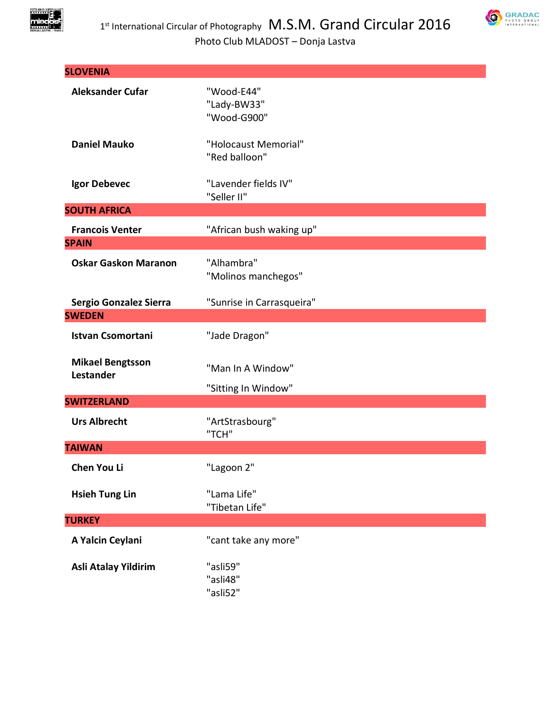

| <b>SLOVENIA</b>                      |                                          |
|--------------------------------------|------------------------------------------|
| <b>Aleksander Cufar</b>              | "Wood-E44"<br>"Lady-BW33"<br>"Wood-G900" |
| <b>Daniel Mauko</b>                  | "Holocaust Memorial"<br>"Red balloon"    |
| Igor Debevec                         | "Lavender fields IV"<br>"Seller II"      |
| <b>SOUTH AFRICA</b>                  |                                          |
| <b>Francois Venter</b>               | "African bush waking up"                 |
| <b>SPAIN</b>                         |                                          |
| <b>Oskar Gaskon Maranon</b>          | "Alhambra"<br>"Molinos manchegos"        |
| Sergio Gonzalez Sierra               | "Sunrise in Carrasqueira"                |
| <b>SWEDEN</b>                        |                                          |
| <b>Istvan Csomortani</b>             | "Jade Dragon"                            |
| <b>Mikael Bengtsson</b><br>Lestander | "Man In A Window"<br>"Sitting In Window" |
| <b>SWITZERLAND</b>                   |                                          |
| <b>Urs Albrecht</b>                  | "ArtStrasbourg"<br>"TCH"                 |
| <b>TAIWAN</b>                        |                                          |
| Chen You Li                          | "Lagoon 2"                               |
| <b>Hsieh Tung Lin</b>                | "Lama Life"<br>"Tibetan Life"            |
| <b>TURKEY</b>                        |                                          |
| A Yalcin Ceylani                     | "cant take any more"                     |
| Asli Atalay Yildirim                 | "asli59"<br>"asli48"<br>"asli52"         |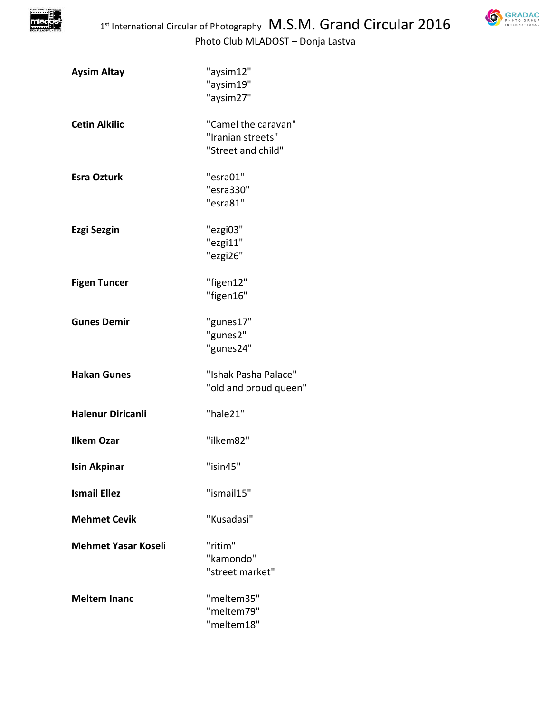

| <b>Aysim Altay</b>         | "aysim12"<br>"aysim19"<br>"aysim27"                            |
|----------------------------|----------------------------------------------------------------|
| <b>Cetin Alkilic</b>       | "Camel the caravan"<br>"Iranian streets"<br>"Street and child" |
| <b>Esra Ozturk</b>         | "esra01"<br>"esra330"<br>"esra81"                              |
| Ezgi Sezgin                | "ezgi03"<br>"ezgi11"<br>"ezgi26"                               |
| <b>Figen Tuncer</b>        | "figen12"<br>"figen16"                                         |
| <b>Gunes Demir</b>         | "gunes17"<br>"gunes2"<br>"gunes24"                             |
| <b>Hakan Gunes</b>         | "Ishak Pasha Palace"<br>"old and proud queen"                  |
| <b>Halenur Diricanli</b>   | "hale21"                                                       |
| <b>Ilkem Ozar</b>          | "ilkem82"                                                      |
| <b>Isin Akpinar</b>        | "isin45"                                                       |
| <b>Ismail Ellez</b>        | "ismail15"                                                     |
| <b>Mehmet Cevik</b>        | "Kusadasi"                                                     |
| <b>Mehmet Yasar Koseli</b> | "ritim"<br>"kamondo"<br>"street market"                        |
| <b>Meltem Inanc</b>        | "meltem35"<br>"meltem79"<br>"meltem18"                         |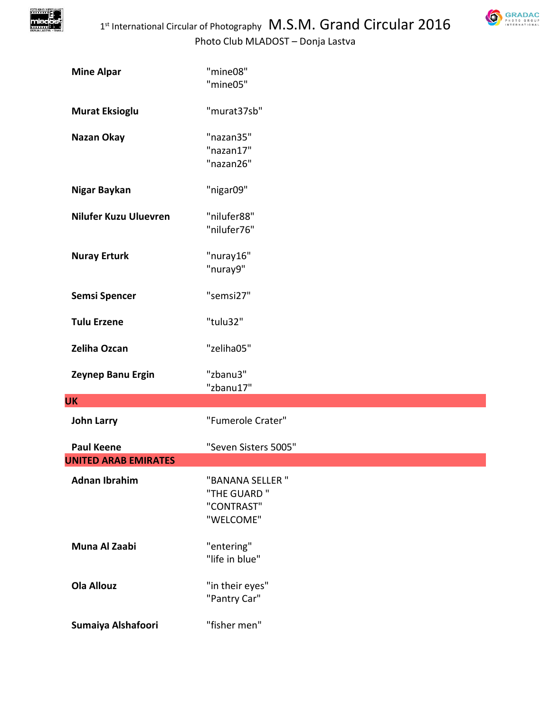

| GRADAC                                 |
|----------------------------------------|
| PHOTO<br>GROUP<br><b>INTERNATIONAL</b> |

| <b>Mine Alpar</b>            | "mine08"<br>"mine05"                                        |
|------------------------------|-------------------------------------------------------------|
| <b>Murat Eksioglu</b>        | "murat37sb"                                                 |
| Nazan Okay                   | "nazan35"<br>"nazan17"<br>"nazan26"                         |
| Nigar Baykan                 | "nigar09"                                                   |
| <b>Nilufer Kuzu Uluevren</b> | "nilufer88"<br>"nilufer76"                                  |
| <b>Nuray Erturk</b>          | "nuray16"<br>"nuray9"                                       |
| <b>Semsi Spencer</b>         | "semsi27"                                                   |
| <b>Tulu Erzene</b>           | "tulu32"                                                    |
| Zeliha Ozcan                 | "zeliha05"                                                  |
| Zeynep Banu Ergin            | "zbanu3"<br>"zbanu17"                                       |
| <b>UK</b>                    |                                                             |
| <b>John Larry</b>            | "Fumerole Crater"                                           |
| <b>Paul Keene</b>            | "Seven Sisters 5005"                                        |
| <b>UNITED ARAB EMIRATES</b>  |                                                             |
| <b>Adnan Ibrahim</b>         | "BANANA SELLER "<br>"THE GUARD "<br>"CONTRAST"<br>"WELCOME" |
| Muna Al Zaabi                | "entering"<br>"life in blue"                                |
| <b>Ola Allouz</b>            | "in their eyes"<br>"Pantry Car"                             |
| Sumaiya Alshafoori           | "fisher men"                                                |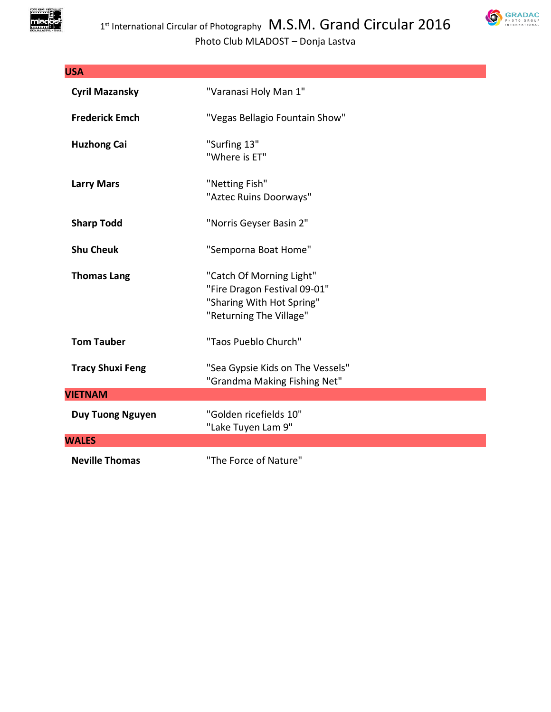

| <b>USA</b>              |                                                                                                                  |
|-------------------------|------------------------------------------------------------------------------------------------------------------|
| <b>Cyril Mazansky</b>   | "Varanasi Holy Man 1"                                                                                            |
| <b>Frederick Emch</b>   | "Vegas Bellagio Fountain Show"                                                                                   |
| <b>Huzhong Cai</b>      | "Surfing 13"<br>"Where is ET"                                                                                    |
| <b>Larry Mars</b>       | "Netting Fish"<br>"Aztec Ruins Doorways"                                                                         |
| <b>Sharp Todd</b>       | "Norris Geyser Basin 2"                                                                                          |
| <b>Shu Cheuk</b>        | "Semporna Boat Home"                                                                                             |
| <b>Thomas Lang</b>      | "Catch Of Morning Light"<br>"Fire Dragon Festival 09-01"<br>"Sharing With Hot Spring"<br>"Returning The Village" |
| <b>Tom Tauber</b>       | "Taos Pueblo Church"                                                                                             |
| <b>Tracy Shuxi Feng</b> | "Sea Gypsie Kids on The Vessels"<br>"Grandma Making Fishing Net"                                                 |
| <b>VIETNAM</b>          |                                                                                                                  |
| <b>Duy Tuong Nguyen</b> | "Golden ricefields 10"<br>"Lake Tuyen Lam 9"                                                                     |
| <b>WALES</b>            |                                                                                                                  |
| <b>Neville Thomas</b>   | "The Force of Nature"                                                                                            |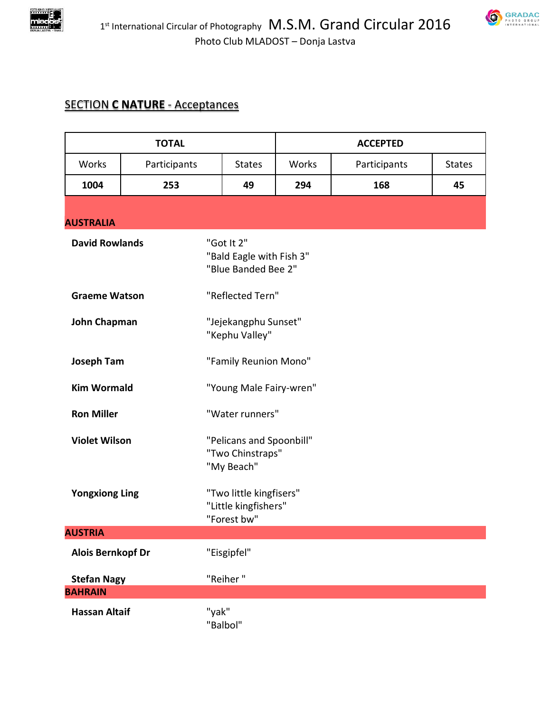



## SECTION **C NATURE** - Acceptances

| <b>TOTAL</b>                   |              |                                                                | <b>ACCEPTED</b> |              |               |
|--------------------------------|--------------|----------------------------------------------------------------|-----------------|--------------|---------------|
| Works                          | Participants | <b>States</b>                                                  | Works           | Participants | <b>States</b> |
| 1004                           | 253          | 49                                                             | 294             | 168          | 45            |
|                                |              |                                                                |                 |              |               |
| <b>AUSTRALIA</b>               |              |                                                                |                 |              |               |
| <b>David Rowlands</b>          |              | "Got It 2"<br>"Bald Eagle with Fish 3"<br>"Blue Banded Bee 2"  |                 |              |               |
| <b>Graeme Watson</b>           |              | "Reflected Tern"                                               |                 |              |               |
| <b>John Chapman</b>            |              | "Jejekangphu Sunset"<br>"Kephu Valley"                         |                 |              |               |
| <b>Joseph Tam</b>              |              | "Family Reunion Mono"                                          |                 |              |               |
| <b>Kim Wormald</b>             |              | "Young Male Fairy-wren"                                        |                 |              |               |
| <b>Ron Miller</b>              |              | "Water runners"                                                |                 |              |               |
| <b>Violet Wilson</b>           |              | "Pelicans and Spoonbill"<br>"Two Chinstraps"<br>"My Beach"     |                 |              |               |
| <b>Yongxiong Ling</b>          |              | "Two little kingfisers"<br>"Little kingfishers"<br>"Forest bw" |                 |              |               |
| <b>AUSTRIA</b>                 |              |                                                                |                 |              |               |
| <b>Alois Bernkopf Dr</b>       |              | "Eisgipfel"                                                    |                 |              |               |
| "Reiher"<br><b>Stefan Nagy</b> |              |                                                                |                 |              |               |
| <b>BAHRAIN</b>                 |              |                                                                |                 |              |               |
| <b>Hassan Altaif</b>           |              | "yak"<br>"Balbol"                                              |                 |              |               |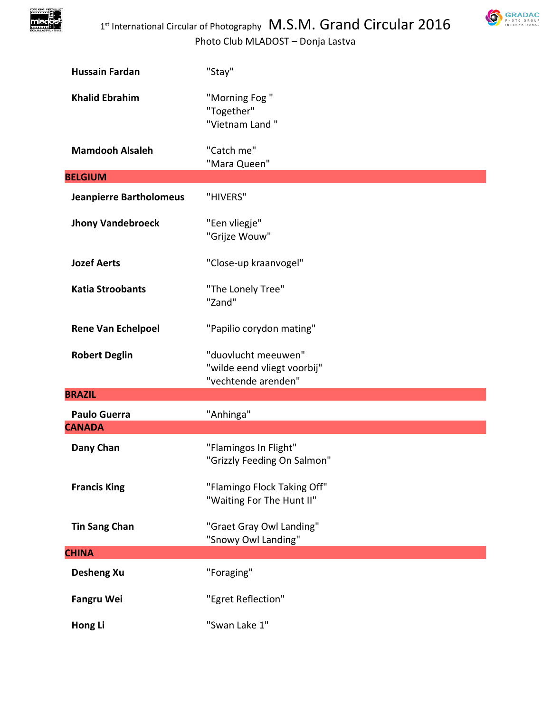



| <b>Hussain Fardan</b>          | "Stay"                                                                    |
|--------------------------------|---------------------------------------------------------------------------|
| <b>Khalid Ebrahim</b>          | "Morning Fog"<br>"Together"<br>"Vietnam Land"                             |
| <b>Mamdooh Alsaleh</b>         | "Catch me"<br>"Mara Queen"                                                |
| <b>BELGIUM</b>                 |                                                                           |
| <b>Jeanpierre Bartholomeus</b> | "HIVERS"                                                                  |
| <b>Jhony Vandebroeck</b>       | "Een vliegje"<br>"Grijze Wouw"                                            |
| <b>Jozef Aerts</b>             | "Close-up kraanvogel"                                                     |
| <b>Katia Stroobants</b>        | "The Lonely Tree"<br>"Zand"                                               |
| <b>Rene Van Echelpoel</b>      | "Papilio corydon mating"                                                  |
| <b>Robert Deglin</b>           | "duovlucht meeuwen"<br>"wilde eend vliegt voorbij"<br>"vechtende arenden" |
| <b>BRAZIL</b>                  |                                                                           |
| <b>Paulo Guerra</b>            | "Anhinga"                                                                 |
| <b>CANADA</b>                  |                                                                           |
| Dany Chan                      | "Flamingos In Flight"<br>"Grizzly Feeding On Salmon"                      |
| <b>Francis King</b>            | "Flamingo Flock Taking Off"<br>"Waiting For The Hunt II"                  |
| <b>Tin Sang Chan</b>           | "Graet Gray Owl Landing"<br>"Snowy Owl Landing"                           |
| <b>CHINA</b>                   |                                                                           |
| <b>Desheng Xu</b>              | "Foraging"                                                                |
| <b>Fangru Wei</b>              | "Egret Reflection"                                                        |
| Hong Li                        | "Swan Lake 1"                                                             |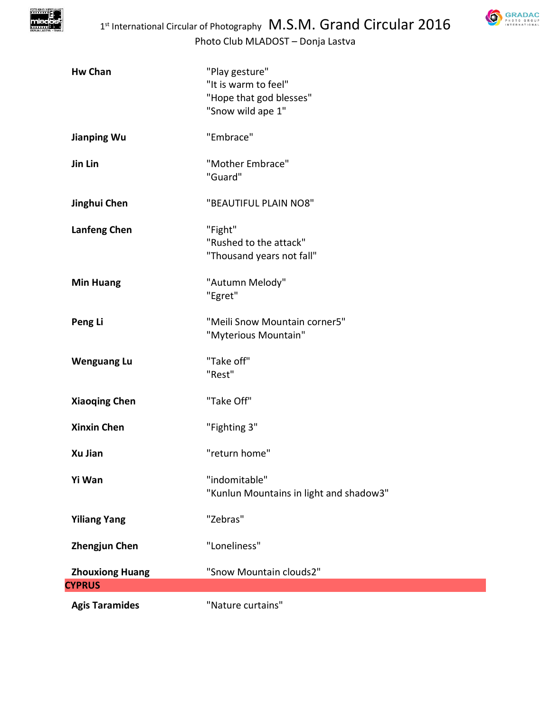



| <b>Hw Chan</b>         | "Play gesture"<br>"It is warm to feel"<br>"Hope that god blesses"<br>"Snow wild ape 1" |
|------------------------|----------------------------------------------------------------------------------------|
| <b>Jianping Wu</b>     | "Embrace"                                                                              |
| Jin Lin                | "Mother Embrace"<br>"Guard"                                                            |
| Jinghui Chen           | "BEAUTIFUL PLAIN NO8"                                                                  |
| <b>Lanfeng Chen</b>    | "Fight"<br>"Rushed to the attack"<br>"Thousand years not fall"                         |
| <b>Min Huang</b>       | "Autumn Melody"<br>"Egret"                                                             |
| Peng Li                | "Meili Snow Mountain corner5"<br>"Myterious Mountain"                                  |
| <b>Wenguang Lu</b>     | "Take off"<br>"Rest"                                                                   |
| <b>Xiaoqing Chen</b>   | "Take Off"                                                                             |
| <b>Xinxin Chen</b>     | "Fighting 3"                                                                           |
| Xu Jian                | "return home"                                                                          |
| Yi Wan                 | "indomitable"<br>"Kunlun Mountains in light and shadow3"                               |
| <b>Yiliang Yang</b>    | "Zebras"                                                                               |
| <b>Zhengjun Chen</b>   | "Loneliness"                                                                           |
| <b>Zhouxiong Huang</b> | "Snow Mountain clouds2"                                                                |
| <b>CYPRUS</b>          |                                                                                        |
| <b>Agis Taramides</b>  | "Nature curtains"                                                                      |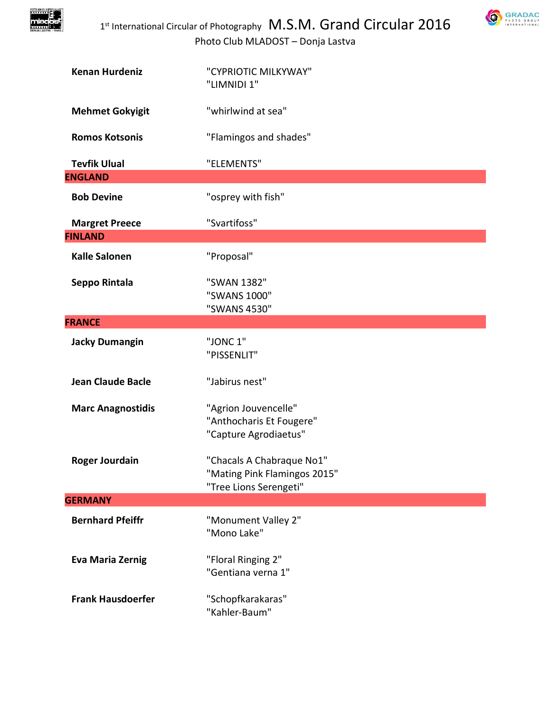



| <b>Kenan Hurdeniz</b>    | "CYPRIOTIC MILKYWAY"<br>"LIMNIDI 1"                    |
|--------------------------|--------------------------------------------------------|
| <b>Mehmet Gokyigit</b>   | "whirlwind at sea"                                     |
| <b>Romos Kotsonis</b>    | "Flamingos and shades"                                 |
| <b>Tevfik Ulual</b>      | "ELEMENTS"                                             |
| <b>ENGLAND</b>           |                                                        |
| <b>Bob Devine</b>        | "osprey with fish"                                     |
| <b>Margret Preece</b>    | "Svartifoss"                                           |
| <b>FINLAND</b>           |                                                        |
| <b>Kalle Salonen</b>     | "Proposal"                                             |
| Seppo Rintala            | "SWAN 1382"<br>"SWANS 1000"<br>"SWANS 4530"            |
| <b>FRANCE</b>            |                                                        |
| <b>Jacky Dumangin</b>    | "JONC 1"                                               |
|                          | "PISSENLIT"                                            |
| <b>Jean Claude Bacle</b> | "Jabirus nest"                                         |
| <b>Marc Anagnostidis</b> | "Agrion Jouvencelle"                                   |
|                          | "Anthocharis Et Fougere"                               |
|                          | "Capture Agrodiaetus"                                  |
| <b>Roger Jourdain</b>    | "Chacals A Chabraque No1"                              |
|                          | "Mating Pink Flamingos 2015"<br>"Tree Lions Serengeti" |
| <b>GERMANY</b>           |                                                        |
| <b>Bernhard Pfeiffr</b>  |                                                        |
|                          | "Monument Valley 2"<br>"Mono Lake"                     |
| <b>Eva Maria Zernig</b>  | "Floral Ringing 2"                                     |
|                          | "Gentiana verna 1"                                     |
| <b>Frank Hausdoerfer</b> | "Schopfkarakaras"                                      |
|                          | "Kahler-Baum"                                          |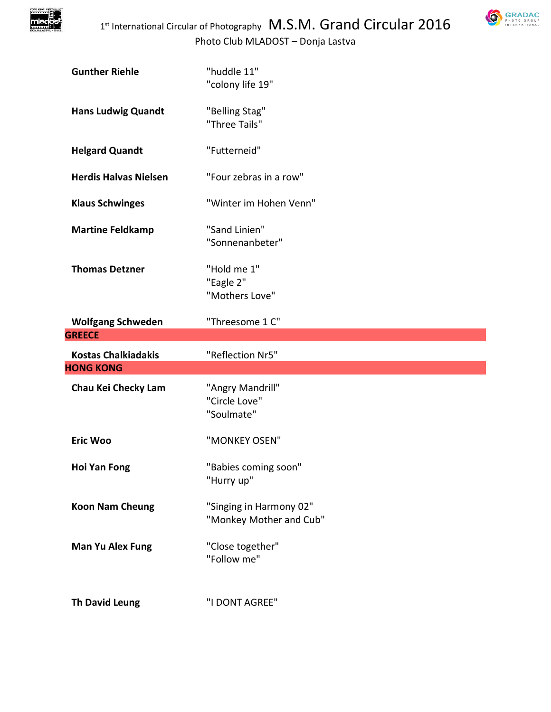

| GRADAC                              |
|-------------------------------------|
| PHOTO GROUP<br><b>INTERNATIONAL</b> |

| <b>Gunther Riehle</b>        | "huddle 11"<br>"colony life 19"                    |
|------------------------------|----------------------------------------------------|
| <b>Hans Ludwig Quandt</b>    | "Belling Stag"<br>"Three Tails"                    |
| <b>Helgard Quandt</b>        | "Futterneid"                                       |
| <b>Herdis Halvas Nielsen</b> | "Four zebras in a row"                             |
| <b>Klaus Schwinges</b>       | "Winter im Hohen Venn"                             |
| <b>Martine Feldkamp</b>      | "Sand Linien"<br>"Sonnenanbeter"                   |
| <b>Thomas Detzner</b>        | "Hold me 1"<br>"Eagle 2"<br>"Mothers Love"         |
| <b>Wolfgang Schweden</b>     | "Threesome 1 C"                                    |
|                              |                                                    |
| <b>GREECE</b>                |                                                    |
| <b>Kostas Chalkiadakis</b>   | "Reflection Nr5"                                   |
| <b>HONG KONG</b>             |                                                    |
| Chau Kei Checky Lam          | "Angry Mandrill"<br>"Circle Love"<br>"Soulmate"    |
| <b>Eric Woo</b>              | "MONKEY OSEN"                                      |
| <b>Hoi Yan Fong</b>          | "Babies coming soon"<br>"Hurry up"                 |
| <b>Koon Nam Cheung</b>       | "Singing in Harmony 02"<br>"Monkey Mother and Cub" |
| <b>Man Yu Alex Fung</b>      | "Close together"<br>"Follow me"                    |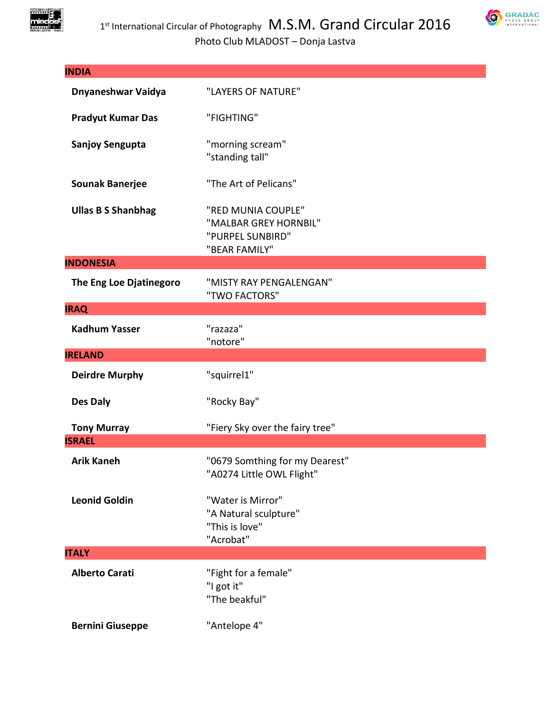

| <b>INDIA</b>                        |                                                                                  |
|-------------------------------------|----------------------------------------------------------------------------------|
| Dnyaneshwar Vaidya                  | "LAYERS OF NATURE"                                                               |
| <b>Pradyut Kumar Das</b>            | "FIGHTING"                                                                       |
| <b>Sanjoy Sengupta</b>              | "morning scream"<br>"standing tall"                                              |
| <b>Sounak Banerjee</b>              | "The Art of Pelicans"                                                            |
| <b>Ullas B S Shanbhag</b>           | "RED MUNIA COUPLE"<br>"MALBAR GREY HORNBIL"<br>"PURPEL SUNBIRD"<br>"BEAR FAMILY" |
| <b>INDONESIA</b>                    |                                                                                  |
| The Eng Loe Djatinegoro             | "MISTY RAY PENGALENGAN"<br>"TWO FACTORS"                                         |
| <b>IRAQ</b>                         |                                                                                  |
| <b>Kadhum Yasser</b>                | "razaza"<br>"notore"                                                             |
| <b>IRELAND</b>                      |                                                                                  |
| <b>Deirdre Murphy</b>               | "squirrel1"                                                                      |
| <b>Des Daly</b>                     | "Rocky Bay"                                                                      |
| <b>Tony Murray</b><br><b>ISRAEL</b> | "Fiery Sky over the fairy tree"                                                  |
| <b>Arik Kaneh</b>                   | "0679 Somthing for my Dearest"<br>"A0274 Little OWL Flight"                      |
| <b>Leonid Goldin</b>                | "Water is Mirror"<br>"A Natural sculpture"<br>"This is love"<br>"Acrobat"        |
| <b>ITALY</b>                        |                                                                                  |
| <b>Alberto Carati</b>               | "Fight for a female"<br>"I got it"<br>"The beakful"                              |
| <b>Bernini Giuseppe</b>             | "Antelope 4"                                                                     |

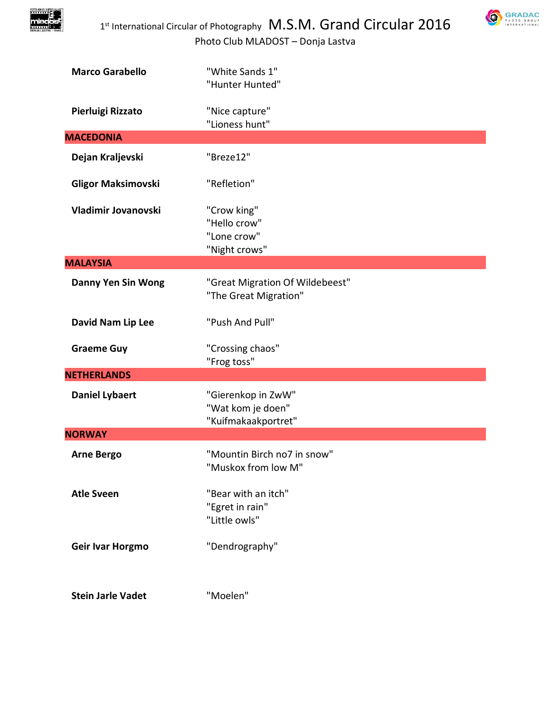



| <b>Marco Garabello</b>    | "White Sands 1"<br>"Hunter Hunted"                             |
|---------------------------|----------------------------------------------------------------|
| Pierluigi Rizzato         | "Nice capture"<br>"Lioness hunt"                               |
| <b>MACEDONIA</b>          |                                                                |
| Dejan Kraljevski          | "Breze12"                                                      |
| <b>Gligor Maksimovski</b> | "Refletion"                                                    |
| Vladimir Jovanovski       | "Crow king"<br>"Hello crow"<br>"Lone crow"<br>"Night crows"    |
| <b>MALAYSIA</b>           |                                                                |
| <b>Danny Yen Sin Wong</b> | "Great Migration Of Wildebeest"<br>"The Great Migration"       |
| David Nam Lip Lee         | "Push And Pull"                                                |
| <b>Graeme Guy</b>         | "Crossing chaos"<br>"Frog toss"                                |
| <b>NETHERLANDS</b>        |                                                                |
| <b>Daniel Lybaert</b>     | "Gierenkop in ZwW"<br>"Wat kom je doen"<br>"Kuifmakaakportret" |
| <b>NORWAY</b>             |                                                                |
| <b>Arne Bergo</b>         | "Mountin Birch no7 in snow"<br>"Muskox from low M"             |
| <b>Atle Sveen</b>         | "Bear with an itch"<br>"Egret in rain"<br>"Little owls"        |
| Geir Ivar Horgmo          | "Dendrography"                                                 |
| <b>Stein Jarle Vadet</b>  | "Moelen"                                                       |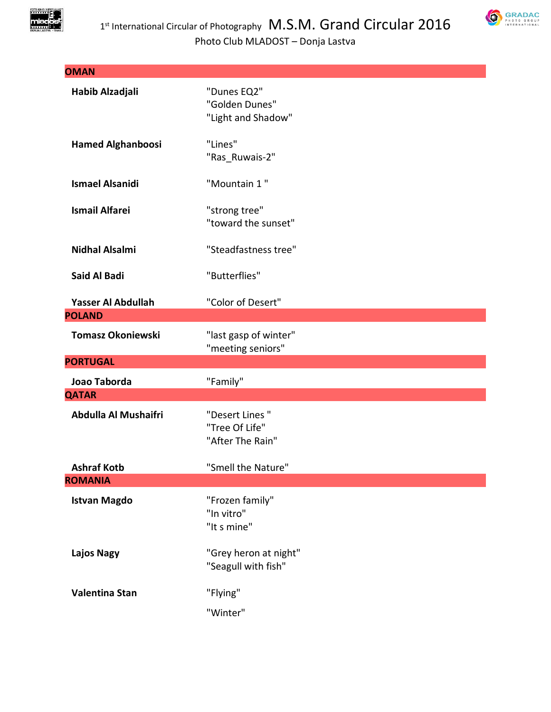



| <b>OMAN</b>                         |                                                       |
|-------------------------------------|-------------------------------------------------------|
| Habib Alzadjali                     | "Dunes EQ2"<br>"Golden Dunes"<br>"Light and Shadow"   |
| <b>Hamed Alghanboosi</b>            | "Lines"<br>"Ras Ruwais-2"                             |
| <b>Ismael Alsanidi</b>              | "Mountain 1"                                          |
| <b>Ismail Alfarei</b>               | "strong tree"<br>"toward the sunset"                  |
| <b>Nidhal Alsalmi</b>               | "Steadfastness tree"                                  |
| <b>Said Al Badi</b>                 | "Butterflies"                                         |
| Yasser Al Abdullah<br><b>POLAND</b> | "Color of Desert"                                     |
| <b>Tomasz Okoniewski</b>            | "last gasp of winter"<br>"meeting seniors"            |
| <b>PORTUGAL</b>                     |                                                       |
| Joao Taborda                        | "Family"                                              |
| <b>QATAR</b>                        |                                                       |
| Abdulla Al Mushaifri                | "Desert Lines "<br>"Tree Of Life"<br>"After The Rain" |
| <b>Ashraf Kotb</b>                  | "Smell the Nature"                                    |
| <b>ROMANIA</b>                      |                                                       |
| <b>Istvan Magdo</b>                 | "Frozen family"<br>"In vitro"<br>"It s mine"          |
| <b>Lajos Nagy</b>                   | "Grey heron at night"<br>"Seagull with fish"          |
| Valentina Stan                      | "Flying"                                              |
|                                     | "Winter"                                              |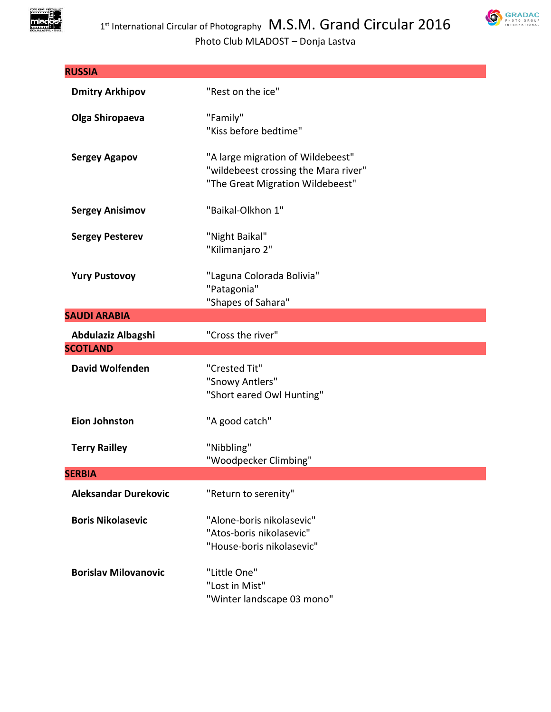

| <b>RUSSIA</b>               |                                                                                                               |
|-----------------------------|---------------------------------------------------------------------------------------------------------------|
| <b>Dmitry Arkhipov</b>      | "Rest on the ice"                                                                                             |
| Olga Shiropaeva             | "Family"<br>"Kiss before bedtime"                                                                             |
| <b>Sergey Agapov</b>        | "A large migration of Wildebeest"<br>"wildebeest crossing the Mara river"<br>"The Great Migration Wildebeest" |
| <b>Sergey Anisimov</b>      | "Baikal-Olkhon 1"                                                                                             |
| <b>Sergey Pesterev</b>      | "Night Baikal"<br>"Kilimanjaro 2"                                                                             |
| <b>Yury Pustovoy</b>        | "Laguna Colorada Bolivia"<br>"Patagonia"<br>"Shapes of Sahara"                                                |
| <b>SAUDI ARABIA</b>         |                                                                                                               |
| Abdulaziz Albagshi          | "Cross the river"                                                                                             |
| <b>SCOTLAND</b>             |                                                                                                               |
| <b>David Wolfenden</b>      | "Crested Tit"<br>"Snowy Antlers"<br>"Short eared Owl Hunting"                                                 |
| <b>Eion Johnston</b>        | "A good catch"                                                                                                |
| <b>Terry Railley</b>        | "Nibbling"<br>"Woodpecker Climbing"                                                                           |
| <b>SERBIA</b>               |                                                                                                               |
| <b>Aleksandar Durekovic</b> | "Return to serenity"                                                                                          |
| <b>Boris Nikolasevic</b>    | "Alone-boris nikolasevic"<br>"Atos-boris nikolasevic"<br>"House-boris nikolasevic"                            |
| <b>Borislav Milovanovic</b> | "Little One"<br>"Lost in Mist"<br>"Winter landscape 03 mono"                                                  |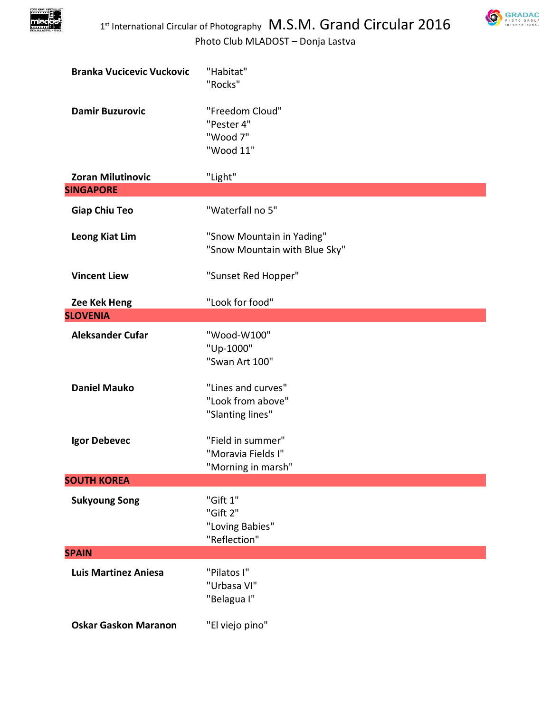



| <b>Branka Vucicevic Vuckovic</b> | "Habitat"<br>"Rocks"                                          |
|----------------------------------|---------------------------------------------------------------|
| <b>Damir Buzurovic</b>           | "Freedom Cloud"<br>"Pester 4"<br>"Wood 7"<br>"Wood 11"        |
| <b>Zoran Milutinovic</b>         | "Light"                                                       |
| <b>SINGAPORE</b>                 |                                                               |
| <b>Giap Chiu Teo</b>             | "Waterfall no 5"                                              |
| <b>Leong Kiat Lim</b>            | "Snow Mountain in Yading"<br>"Snow Mountain with Blue Sky"    |
| <b>Vincent Liew</b>              | "Sunset Red Hopper"                                           |
| Zee Kek Heng                     | "Look for food"                                               |
| <b>SLOVENIA</b>                  |                                                               |
| <b>Aleksander Cufar</b>          | "Wood-W100"<br>"Up-1000"<br>"Swan Art 100"                    |
| <b>Daniel Mauko</b>              | "Lines and curves"<br>"Look from above"<br>"Slanting lines"   |
| Igor Debevec                     | "Field in summer"<br>"Moravia Fields I"<br>"Morning in marsh" |
| <b>SOUTH KOREA</b>               |                                                               |
| <b>Sukyoung Song</b>             | "Gift 1"<br>"Gift 2"<br>"Loving Babies"<br>"Reflection"       |
| <b>SPAIN</b>                     |                                                               |
| <b>Luis Martinez Aniesa</b>      | "Pilatos I"<br>"Urbasa VI"<br>"Belagua I"                     |
| <b>Oskar Gaskon Maranon</b>      | "El viejo pino"                                               |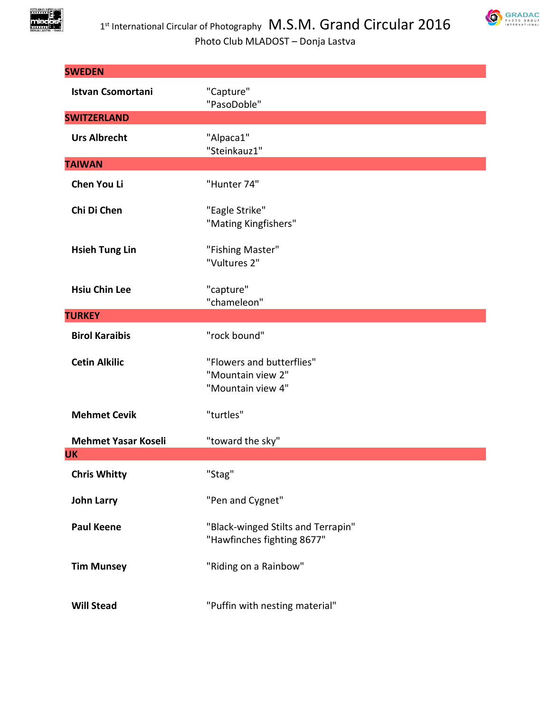



| <b>SWEDEN</b>                           |                                                                     |
|-----------------------------------------|---------------------------------------------------------------------|
| <b>Istvan Csomortani</b>                | "Capture"<br>"PasoDoble"                                            |
| <b>SWITZERLAND</b>                      |                                                                     |
| <b>Urs Albrecht</b>                     | "Alpaca1"<br>"Steinkauz1"                                           |
| <b>TAIWAN</b>                           |                                                                     |
| Chen You Li                             | "Hunter 74"                                                         |
| Chi Di Chen                             | "Eagle Strike"<br>"Mating Kingfishers"                              |
| <b>Hsieh Tung Lin</b>                   | "Fishing Master"<br>"Vultures 2"                                    |
| <b>Hsiu Chin Lee</b>                    | "capture"<br>"chameleon"                                            |
| <b>TURKEY</b>                           |                                                                     |
| <b>Birol Karaibis</b>                   | "rock bound"                                                        |
| <b>Cetin Alkilic</b>                    | "Flowers and butterflies"<br>"Mountain view 2"<br>"Mountain view 4" |
| <b>Mehmet Cevik</b>                     | "turtles"                                                           |
| <b>Mehmet Yasar Koseli</b><br><b>UK</b> | "toward the sky"                                                    |
| <b>Chris Whitty</b>                     | "Stag"                                                              |
| <b>John Larry</b>                       | "Pen and Cygnet"                                                    |
| <b>Paul Keene</b>                       | "Black-winged Stilts and Terrapin"<br>"Hawfinches fighting 8677"    |
| <b>Tim Munsey</b>                       | "Riding on a Rainbow"                                               |
| <b>Will Stead</b>                       | "Puffin with nesting material"                                      |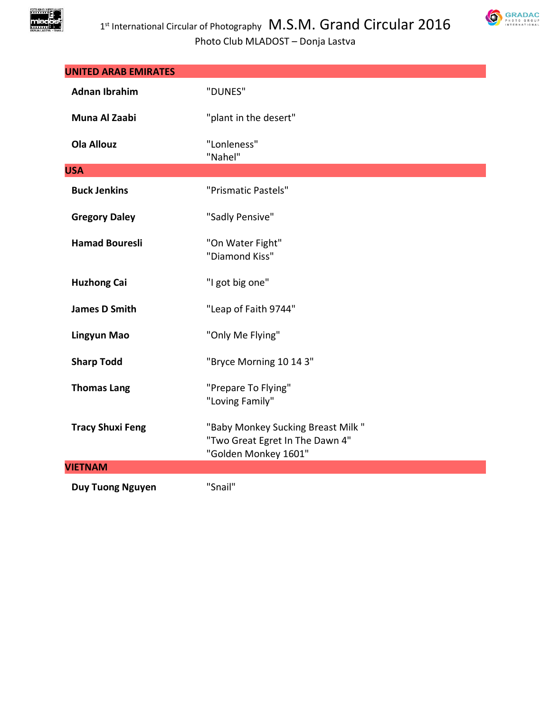



| <b>UNITED ARAB EMIRATES</b> |                                                                                              |
|-----------------------------|----------------------------------------------------------------------------------------------|
| <b>Adnan Ibrahim</b>        | "DUNES"                                                                                      |
| Muna Al Zaabi               | "plant in the desert"                                                                        |
| <b>Ola Allouz</b>           | "Lonleness"<br>"Nahel"                                                                       |
| <b>USA</b>                  |                                                                                              |
| <b>Buck Jenkins</b>         | "Prismatic Pastels"                                                                          |
| <b>Gregory Daley</b>        | "Sadly Pensive"                                                                              |
| <b>Hamad Bouresli</b>       | "On Water Fight"<br>"Diamond Kiss"                                                           |
| <b>Huzhong Cai</b>          | "I got big one"                                                                              |
| <b>James D Smith</b>        | "Leap of Faith 9744"                                                                         |
| <b>Lingyun Mao</b>          | "Only Me Flying"                                                                             |
| <b>Sharp Todd</b>           | "Bryce Morning 10 14 3"                                                                      |
| <b>Thomas Lang</b>          | "Prepare To Flying"<br>"Loving Family"                                                       |
| <b>Tracy Shuxi Feng</b>     | "Baby Monkey Sucking Breast Milk"<br>"Two Great Egret In The Dawn 4"<br>"Golden Monkey 1601" |
| <b>VIETNAM</b>              |                                                                                              |
| <b>Duy Tuong Nguyen</b>     | "Snail"                                                                                      |